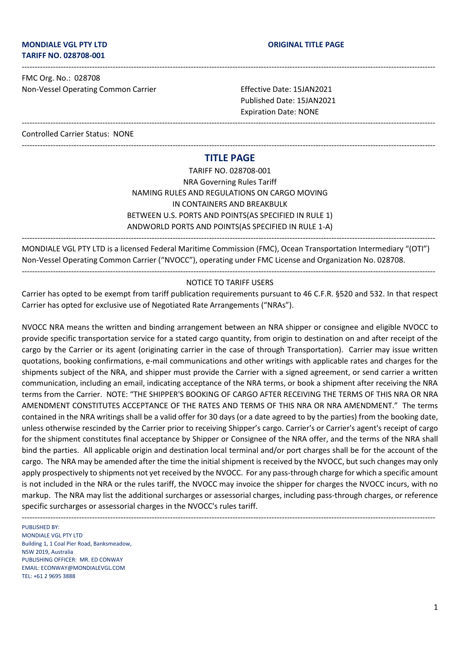FMC Org. No.: 028708 Non-Vessel Operating Common Carrier Effective Date: 15JAN2021

Published Date: 15JAN2021 Expiration Date: NONE

Controlled Carrier Status: NONE

# --------------------------------------------------------------------------------------------------------------------------------------------------------------- **TITLE PAGE**

---------------------------------------------------------------------------------------------------------------------------------------------------------------

---------------------------------------------------------------------------------------------------------------------------------------------------------------

TARIFF NO. 028708-001 NRA Governing Rules Tariff NAMING RULES AND REGULATIONS ON CARGO MOVING IN CONTAINERS AND BREAKBULK BETWEEN U.S. PORTS AND POINTS(AS SPECIFIED IN RULE 1) ANDWORLD PORTS AND POINTS(AS SPECIFIED IN RULE 1-A)

MONDIALE VGL PTY LTD is a licensed Federal Maritime Commission (FMC), Ocean Transportation Intermediary "(OTI") Non-Vessel Operating Common Carrier ("NVOCC"), operating under FMC License and Organization No. 028708.

---------------------------------------------------------------------------------------------------------------------------------------------------------------

#### --------------------------------------------------------------------------------------------------------------------------------------------------------------- NOTICE TO TARIFF USERS

Carrier has opted to be exempt from tariff publication requirements pursuant to 46 C.F.R. §520 and 532. In that respect Carrier has opted for exclusive use of Negotiated Rate Arrangements ("NRAs").

NVOCC NRA means the written and binding arrangement between an NRA shipper or consignee and eligible NVOCC to provide specific transportation service for a stated cargo quantity, from origin to destination on and after receipt of the cargo by the Carrier or its agent (originating carrier in the case of through Transportation). Carrier may issue written quotations, booking confirmations, e-mail communications and other writings with applicable rates and charges for the shipments subject of the NRA, and shipper must provide the Carrier with a signed agreement, or send carrier a written communication, including an email, indicating acceptance of the NRA terms, or book a shipment after receiving the NRA terms from the Carrier. NOTE: "THE SHIPPER'S BOOKING OF CARGO AFTER RECEIVING THE TERMS OF THIS NRA OR NRA AMENDMENT CONSTITUTES ACCEPTANCE OF THE RATES AND TERMS OF THIS NRA OR NRA AMENDMENT." The terms contained in the NRA writings shall be a valid offer for 30 days (or a date agreed to by the parties) from the booking date, unless otherwise rescinded by the Carrier prior to receiving Shipper's cargo. Carrier's or Carrier's agent's receipt of cargo for the shipment constitutes final acceptance by Shipper or Consignee of the NRA offer, and the terms of the NRA shall bind the parties. All applicable origin and destination local terminal and/or port charges shall be for the account of the cargo. The NRA may be amended after the time the initial shipment is received by the NVOCC, but such changes may only apply prospectively to shipments not yet received by the NVOCC. For any pass-through charge for which a specific amount is not included in the NRA or the rules tariff, the NVOCC may invoice the shipper for charges the NVOCC incurs, with no markup. The NRA may list the additional surcharges or assessorial charges, including pass-through charges, or reference specific surcharges or assessorial charges in the NVOCC's rules tariff.

PUBLISHED BY: MONDIALE VGL PTY LTD Building 1, 1 Coal Pier Road, Banksmeadow, NSW 2019, Australia PUBLISHING OFFICER: MR. ED CONWAY EMAIL: ECONWAY@MONDIALEVGL.COM TEL: +61 2 9695 3888

---------------------------------------------------------------------------------------------------------------------------------------------------------------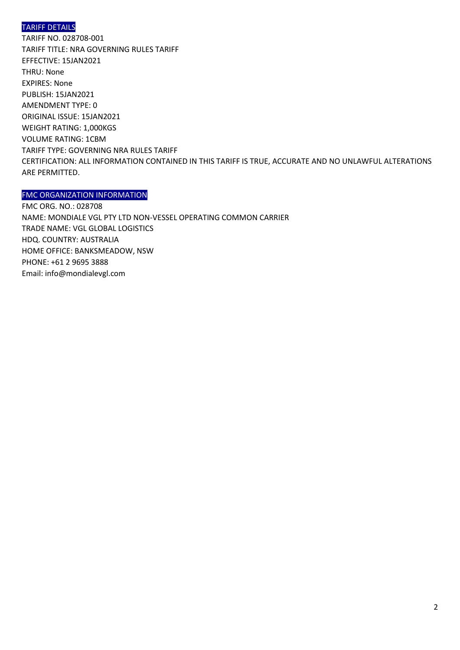# TARIFF DETAILS

TARIFF NO. 028708-001 TARIFF TITLE: NRA GOVERNING RULES TARIFF EFFECTIVE: 15JAN2021 THRU: None EXPIRES: None PUBLISH: 15JAN2021 AMENDMENT TYPE: 0 ORIGINAL ISSUE: 15JAN2021 WEIGHT RATING: 1,000KGS VOLUME RATING: 1CBM TARIFF TYPE: GOVERNING NRA RULES TARIFF CERTIFICATION: ALL INFORMATION CONTAINED IN THIS TARIFF IS TRUE, ACCURATE AND NO UNLAWFUL ALTERATIONS ARE PERMITTED.

### FMC ORGANIZATION INFORMATION

FMC ORG. NO.: 028708 NAME: MONDIALE VGL PTY LTD NON-VESSEL OPERATING COMMON CARRIER TRADE NAME: VGL GLOBAL LOGISTICS HDQ. COUNTRY: AUSTRALIA HOME OFFICE: BANKSMEADOW, NSW PHONE: +61 2 9695 3888 Email: info@mondialevgl.com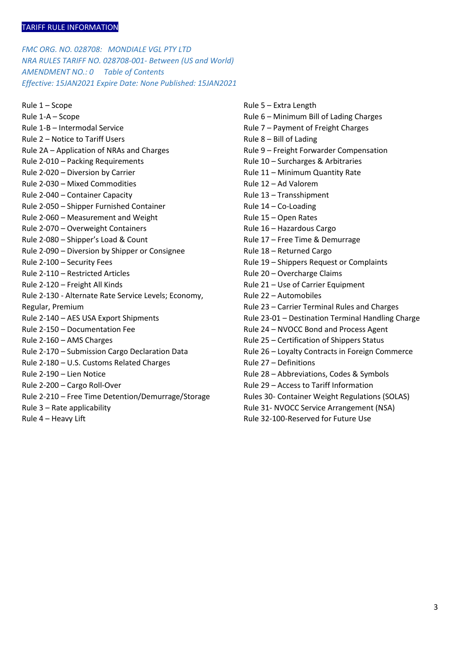*FMC ORG. NO. 028708: MONDIALE VGL PTY LTD NRA RULES TARIFF NO. 028708-001- Between (US and World) AMENDMENT NO.: 0 Table of Contents Effective: 15JAN2021 Expire Date: None Published: 15JAN2021* 

Rule 1 – Scope Rule 1-A – Scope Rule 1-B – Intermodal Service Rule 2 – Notice to Tariff Users Rule 2A – Application of NRAs and Charges Rule 2-010 – Packing Requirements Rule 2-020 – Diversion by Carrier Rule 2-030 – Mixed Commodities Rule 2-040 – Container Capacity Rule 2-050 – Shipper Furnished Container Rule 2-060 – Measurement and Weight Rule 2-070 – Overweight Containers Rule 2-080 – Shipper's Load & Count Rule 2-090 – Diversion by Shipper or Consignee Rule 2-100 – Security Fees Rule 2-110 – Restricted Articles Rule 2-120 – Freight All Kinds Rule 2-130 - Alternate Rate Service Levels; Economy, Regular, Premium Rule 2-140 – AES USA Export Shipments Rule 2-150 – Documentation Fee Rule 2-160 – AMS Charges Rule 2-170 – Submission Cargo Declaration Data Rule 2-180 – U.S. Customs Related Charges Rule 2-190 – Lien Notice Rule 2-200 – Cargo Roll-Over Rule 2-210 – Free Time Detention/Demurrage/Storage Rule 3 – Rate applicability Rule 4 – Heavy Lift

Rule 5 – Extra Length Rule 6 – Minimum Bill of Lading Charges Rule 7 – Payment of Freight Charges Rule 8 – Bill of Lading Rule 9 – Freight Forwarder Compensation Rule 10 – Surcharges & Arbitraries Rule 11 – Minimum Quantity Rate Rule 12 – Ad Valorem Rule 13 – Transshipment Rule 14 – Co-Loading Rule 15 – Open Rates Rule 16 – Hazardous Cargo Rule 17 – Free Time & Demurrage Rule 18 – Returned Cargo Rule 19 – Shippers Request or Complaints Rule 20 – Overcharge Claims Rule 21 – Use of Carrier Equipment Rule 22 – Automobiles Rule 23 – Carrier Terminal Rules and Charges Rule 23-01 – Destination Terminal Handling Charge Rule 24 – NVOCC Bond and Process Agent Rule 25 – Certification of Shippers Status Rule 26 – Loyalty Contracts in Foreign Commerce Rule 27 – Definitions Rule 28 – Abbreviations, Codes & Symbols Rule 29 – Access to Tariff Information Rules 30- Container Weight Regulations (SOLAS) Rule 31- NVOCC Service Arrangement (NSA) Rule 32-100-Reserved for Future Use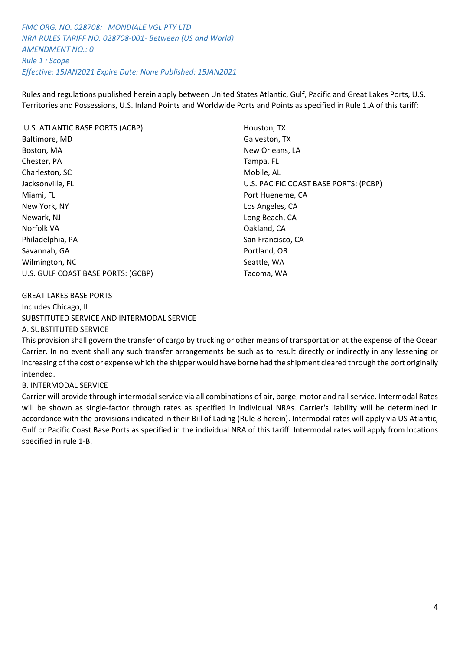*FMC ORG. NO. 028708: MONDIALE VGL PTY LTD NRA RULES TARIFF NO. 028708-001- Between (US and World) AMENDMENT NO.: 0 Rule 1 : Scope Effective: 15JAN2021 Expire Date: None Published: 15JAN2021* 

Rules and regulations published herein apply between United States Atlantic, Gulf, Pacific and Great Lakes Ports, U.S. Territories and Possessions, U.S. Inland Points and Worldwide Ports and Points as specified in Rule 1.A of this tariff:

| U.S. ATLANTIC BASE PORTS (ACBP)    | Houston, TX                           |
|------------------------------------|---------------------------------------|
| Baltimore, MD                      | Galveston, TX                         |
| Boston, MA                         | New Orleans, LA                       |
| Chester, PA                        | Tampa, FL                             |
| Charleston, SC                     | Mobile, AL                            |
| Jacksonville, FL                   | U.S. PACIFIC COAST BASE PORTS: (PCBP) |
| Miami, FL                          | Port Hueneme, CA                      |
| New York, NY                       | Los Angeles, CA                       |
| Newark, NJ                         | Long Beach, CA                        |
| Norfolk VA                         | Oakland, CA                           |
| Philadelphia, PA                   | San Francisco, CA                     |
| Savannah, GA                       | Portland, OR                          |
| Wilmington, NC                     | Seattle, WA                           |
| U.S. GULF COAST BASE PORTS: (GCBP) | Tacoma, WA                            |

#### GREAT LAKES BASE PORTS

Includes Chicago, IL SUBSTITUTED SERVICE AND INTERMODAL SERVICE A. SUBSTITUTED SERVICE

This provision shall govern the transfer of cargo by trucking or other means of transportation at the expense of the Ocean Carrier. In no event shall any such transfer arrangements be such as to result directly or indirectly in any lessening or increasing of the cost or expense which the shipper would have borne had the shipment cleared through the port originally intended.

#### B. INTERMODAL SERVICE

Carrier will provide through intermodal service via all combinations of air, barge, motor and rail service. Intermodal Rates will be shown as single-factor through rates as specified in individual NRAs. Carrier's liability will be determined in accordance with the provisions indicated in their Bill of Lading (Rule 8 herein). Intermodal rates will apply via US Atlantic, Gulf or Pacific Coast Base Ports as specified in the individual NRA of this tariff. Intermodal rates will apply from locations specified in rule 1-B.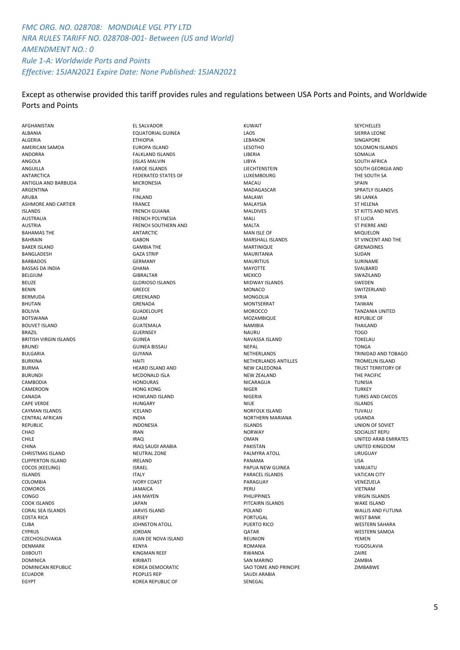# *FMC ORG. NO. 028708: MONDIALE VGL PTY LTD NRA RULES TARIFF NO. 028708-001- Between (US and World) AMENDMENT NO.: 0 Rule 1-A: Worldwide Ports and Points Effective: 15JAN2021 Expire Date: None Published: 15JAN2021*

#### Except as otherwise provided this tariff provides rules and regulations between USA Ports and Points, and Worldwide Ports and Points

AFGHANISTAN ALBANIA ALGERIA AMERICAN SAMOA ANDORRA ANGOLA ANGUILLA ANTARCTICA ANTIGUA AND BARBUDA ARGENTINA ARUBA ASHMORE AND CARTIER ISLANDS AUSTRALIA AUSTRIA BAHAMAS THE BAHRAIN BAKER ISLAND BANGLADESH BARBADOS BASSAS DA INDIA BELGIUM BELIZE BENIN BERMUDA **BHUTAN** BOLIVIA **BOTSWANA** BOUVET ISLAND BRAZIL BRITISH VIRGIN ISLANDS BRUNEI BULGARIA BURKINA BURMA BURUNDI **CAMBODIA** CAMEROON CANADA CAPE VERDE CAYMAN ISLANDS CENTRAL AFRICAN REPUBLIC **CHAD** CHILE CHINA CHRISTMAS ISLAND CLIPPERTON ISLAND COCOS (KEELING) ISLANDS COLOMBIA COMOROS CONGO COOK ISLANDS CORAL SEA ISLANDS COSTA RICA CUBA CYPRUS **CZECHOSLOVAKIA** DENMARK DJIBOUTI **DOMINICA** DOMINICAN REPUBLIC ECUADOR EGYPT

EL SALVADOR EQUATORIAL GUINEA ETHIOPIA EUROPA ISLAND FALKLAND ISLANDS (ISLAS MALVIN FAROE ISLANDS FEDERATED STATES OF MICRONESIA FIJI FINLAND FRANCE FRENCH GUIANA FRENCH POLYNESIA FRENCH SOUTHERN AND ANTARCTIC GABON GAMBIA THE GAZA STRIP GERMANY GHANA GIBRALTAR GLORIOSO ISLANDS **GREECE** GREENLAND GRENADA GUADELOUPE GUAM GUATEMALA GUERNSEY GUINEA GUINEA BISSAU GUYANA HAITI HEARD ISLAND AND MCDONALD ISLA HONDURAS HONG KONG HOWLAND ISLAND HUNGARY ICELAND INDIA INDONESIA IRAN  $IRAD$ IRAQ SAUDI ARABIA NEUTRAL ZONE IRELAND ISRAEL ITALY IVORY COAST JAMAICA JAN MAYEN JAPAN JARVIS ISLAND JERSEY JOHNSTON ATOLL JORDAN JUAN DE NOVA ISLAND KENYA KINGMAN REEF KIRIBATI KOREA DEMOCRATIC PEOPLES REP KOREA REPUBLIC OF

KUWAIT LAOS **LEBANON** LESOTHO LIBERIA LIBYA **LIECHTENSTEIN LUXEMBOURG** MACAU MADAGASCAR MALAWI MALAYSIA MALDIVES MALI MALTA MAN ISLE OF MARSHALL ISLANDS MARTINIQUE MAURITANIA MAURITIUS **MAYOTTE** MEXICO MIDWAY ISLANDS MONACO MONGOLIA MONTSERRAT **MOROCCO** MOZAMBIQUE NAMIBIA NAURU NAVASSA ISLAND NEPAL NETHERLANDS NETHERLANDS ANTILLES NEW CALEDONIA NEW ZEALAND **NICARAGUA** NIGER NIGERIA NIUE NORFOLK ISLAND NORTHERN MARIANA ISLANDS NORWAY **OMAN** PAKISTAN PALMYRA ATOLL PANAMA PAPUA NEW GUINEA PARACEL ISLANDS PARAGUAY **PERU PHILIPPINES** PITCAIRN ISLANDS POLAND PORTUGAL PUERTO RICO **OATAR** REUNION ROMANIA RWANDA SAN MARINO SAO TOME AND PRINCIPE SAUDI ARABIA **SENEGAL** 

SEYCHELLES SIERRA LEONE **SINGAPORE** SOLOMON ISLANDS SOMALIA SOUTH AFRICA SOUTH GEORGIA AND THE SOUTH SA SPAIN SPRATLY ISLANDS SRI LANKA ST HELENA ST KITTS AND NEVIS ST LUCIA ST PIERRE AND MIQUELON ST VINCENT AND THE GRENADINES **SUDAN** SURINAME SVALBARD SWAZILAND SWEDEN SWITZERI AND SYRIA TAIWAN TANZANIA UNITED REPUBLIC OF THAILAND TOGO **TOKELAU** TONGA TRINIDAD AND TOBAGO TROMELIN ISLAND TRUST TERRITORY OF THE PACIFIC TUNISIA **TURKEY** TURKS AND CAICOS ISLANDS TUVALU UGANDA UNION OF SOVIET SOCIALIST REPU UNITED ARAB EMIRATES UNITED KINGDOM URUGUAY USA VANUATU VATICAN CITY VENEZUELA VIETNAM VIRGIN ISLANDS WAKE ISLAND WALLIS AND FUTUNA WEST BANK WESTERN SAHARA WESTERN SAMOA **VEMEN** YUGOSLAVIA ZAIRE ZAMBIA ZIMBABWE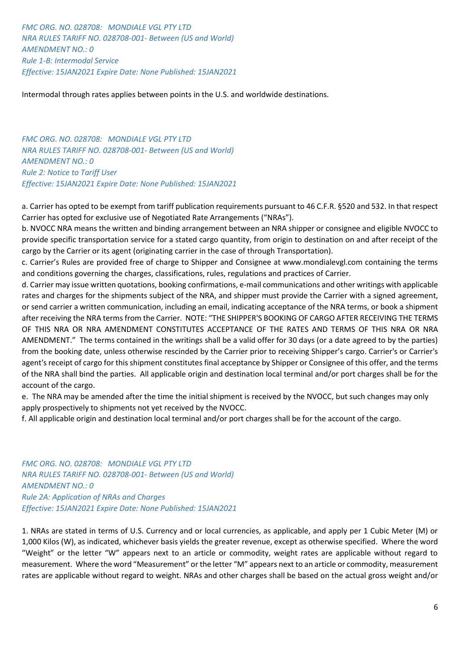*FMC ORG. NO. 028708: MONDIALE VGL PTY LTD NRA RULES TARIFF NO. 028708-001- Between (US and World) AMENDMENT NO.: 0 Rule 1-B: Intermodal Service Effective: 15JAN2021 Expire Date: None Published: 15JAN2021* 

Intermodal through rates applies between points in the U.S. and worldwide destinations.

*FMC ORG. NO. 028708: MONDIALE VGL PTY LTD NRA RULES TARIFF NO. 028708-001- Between (US and World) AMENDMENT NO.: 0 Rule 2: Notice to Tariff User Effective: 15JAN2021 Expire Date: None Published: 15JAN2021* 

a. Carrier has opted to be exempt from tariff publication requirements pursuant to 46 C.F.R. §520 and 532. In that respect Carrier has opted for exclusive use of Negotiated Rate Arrangements ("NRAs").

b. NVOCC NRA means the written and binding arrangement between an NRA shipper or consignee and eligible NVOCC to provide specific transportation service for a stated cargo quantity, from origin to destination on and after receipt of the cargo by the Carrier or its agent (originating carrier in the case of through Transportation).

c. Carrier's Rules are provided free of charge to Shipper and Consignee at www.mondialevgl.com containing the terms and conditions governing the charges, classifications, rules, regulations and practices of Carrier.

d. Carrier may issue written quotations, booking confirmations, e-mail communications and other writings with applicable rates and charges for the shipments subject of the NRA, and shipper must provide the Carrier with a signed agreement, or send carrier a written communication, including an email, indicating acceptance of the NRA terms, or book a shipment after receiving the NRA terms from the Carrier. NOTE: "THE SHIPPER'S BOOKING OF CARGO AFTER RECEIVING THE TERMS OF THIS NRA OR NRA AMENDMENT CONSTITUTES ACCEPTANCE OF THE RATES AND TERMS OF THIS NRA OR NRA AMENDMENT." The terms contained in the writings shall be a valid offer for 30 days (or a date agreed to by the parties) from the booking date, unless otherwise rescinded by the Carrier prior to receiving Shipper's cargo. Carrier's or Carrier's agent's receipt of cargo for this shipment constitutes final acceptance by Shipper or Consignee of this offer, and the terms of the NRA shall bind the parties. All applicable origin and destination local terminal and/or port charges shall be for the account of the cargo.

e. The NRA may be amended after the time the initial shipment is received by the NVOCC, but such changes may only apply prospectively to shipments not yet received by the NVOCC.

f. All applicable origin and destination local terminal and/or port charges shall be for the account of the cargo.

*FMC ORG. NO. 028708: MONDIALE VGL PTY LTD NRA RULES TARIFF NO. 028708-001- Between (US and World) AMENDMENT NO.: 0 Rule 2A: Application of NRAs and Charges Effective: 15JAN2021 Expire Date: None Published: 15JAN2021* 

1. NRAs are stated in terms of U.S. Currency and or local currencies, as applicable, and apply per 1 Cubic Meter (M) or 1,000 Kilos (W), as indicated, whichever basis yields the greater revenue, except as otherwise specified. Where the word "Weight" or the letter "W" appears next to an article or commodity, weight rates are applicable without regard to measurement. Where the word "Measurement" or the letter "M" appears next to an article or commodity, measurement rates are applicable without regard to weight. NRAs and other charges shall be based on the actual gross weight and/or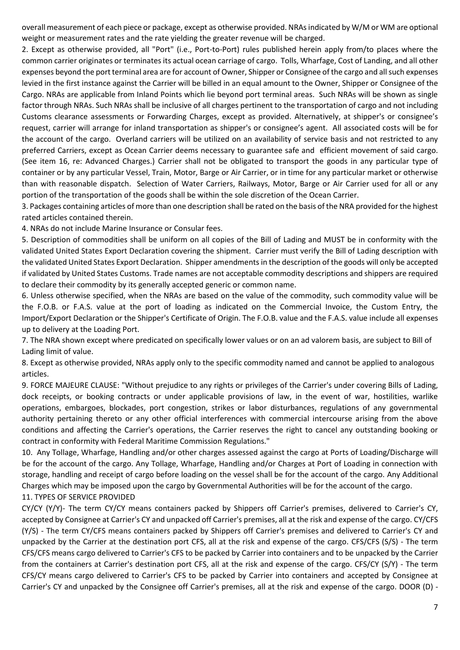overall measurement of each piece or package, except as otherwise provided. NRAs indicated by W/M or WM are optional weight or measurement rates and the rate yielding the greater revenue will be charged.

2. Except as otherwise provided, all "Port" (i.e., Port-to-Port) rules published herein apply from/to places where the common carrier originates or terminates its actual ocean carriage of cargo. Tolls, Wharfage, Cost of Landing, and all other expenses beyond the port terminal area are for account of Owner, Shipper or Consignee of the cargo and all such expenses levied in the first instance against the Carrier will be billed in an equal amount to the Owner, Shipper or Consignee of the Cargo. NRAs are applicable from Inland Points which lie beyond port terminal areas. Such NRAs will be shown as single factor through NRAs. Such NRAs shall be inclusive of all charges pertinent to the transportation of cargo and not including Customs clearance assessments or Forwarding Charges, except as provided. Alternatively, at shipper's or consignee's request, carrier will arrange for inland transportation as shipper's or consignee's agent. All associated costs will be for the account of the cargo. Overland carriers will be utilized on an availability of service basis and not restricted to any preferred Carriers, except as Ocean Carrier deems necessary to guarantee safe and efficient movement of said cargo. (See item 16, re: Advanced Charges.) Carrier shall not be obligated to transport the goods in any particular type of container or by any particular Vessel, Train, Motor, Barge or Air Carrier, or in time for any particular market or otherwise than with reasonable dispatch. Selection of Water Carriers, Railways, Motor, Barge or Air Carrier used for all or any portion of the transportation of the goods shall be within the sole discretion of the Ocean Carrier.

3. Packages containing articles of more than one description shall be rated on the basis of the NRA provided for the highest rated articles contained therein.

4. NRAs do not include Marine Insurance or Consular fees.

5. Description of commodities shall be uniform on all copies of the Bill of Lading and MUST be in conformity with the validated United States Export Declaration covering the shipment. Carrier must verify the Bill of Lading description with the validated United States Export Declaration. Shipper amendments in the description of the goods will only be accepted if validated by United States Customs. Trade names are not acceptable commodity descriptions and shippers are required to declare their commodity by its generally accepted generic or common name.

6. Unless otherwise specified, when the NRAs are based on the value of the commodity, such commodity value will be the F.O.B. or F.A.S. value at the port of loading as indicated on the Commercial Invoice, the Custom Entry, the Import/Export Declaration or the Shipper's Certificate of Origin. The F.O.B. value and the F.A.S. value include all expenses up to delivery at the Loading Port.

7. The NRA shown except where predicated on specifically lower values or on an ad valorem basis, are subject to Bill of Lading limit of value.

8. Except as otherwise provided, NRAs apply only to the specific commodity named and cannot be applied to analogous articles.

9. FORCE MAJEURE CLAUSE: "Without prejudice to any rights or privileges of the Carrier's under covering Bills of Lading, dock receipts, or booking contracts or under applicable provisions of law, in the event of war, hostilities, warlike operations, embargoes, blockades, port congestion, strikes or labor disturbances, regulations of any governmental authority pertaining thereto or any other official interferences with commercial intercourse arising from the above conditions and affecting the Carrier's operations, the Carrier reserves the right to cancel any outstanding booking or contract in conformity with Federal Maritime Commission Regulations."

10. Any Tollage, Wharfage, Handling and/or other charges assessed against the cargo at Ports of Loading/Discharge will be for the account of the cargo. Any Tollage, Wharfage, Handling and/or Charges at Port of Loading in connection with storage, handling and receipt of cargo before loading on the vessel shall be for the account of the cargo. Any Additional Charges which may be imposed upon the cargo by Governmental Authorities will be for the account of the cargo. 11. TYPES OF SERVICE PROVIDED

CY/CY (Y/Y)- The term CY/CY means containers packed by Shippers off Carrier's premises, delivered to Carrier's CY, accepted by Consignee at Carrier's CY and unpacked off Carrier's premises, all at the risk and expense of the cargo. CY/CFS (Y/S) - The term CY/CFS means containers packed by Shippers off Carrier's premises and delivered to Carrier's CY and unpacked by the Carrier at the destination port CFS, all at the risk and expense of the cargo. CFS/CFS (S/S) - The term CFS/CFS means cargo delivered to Carrier's CFS to be packed by Carrier into containers and to be unpacked by the Carrier from the containers at Carrier's destination port CFS, all at the risk and expense of the cargo. CFS/CY (S/Y) - The term CFS/CY means cargo delivered to Carrier's CFS to be packed by Carrier into containers and accepted by Consignee at Carrier's CY and unpacked by the Consignee off Carrier's premises, all at the risk and expense of the cargo. DOOR (D) -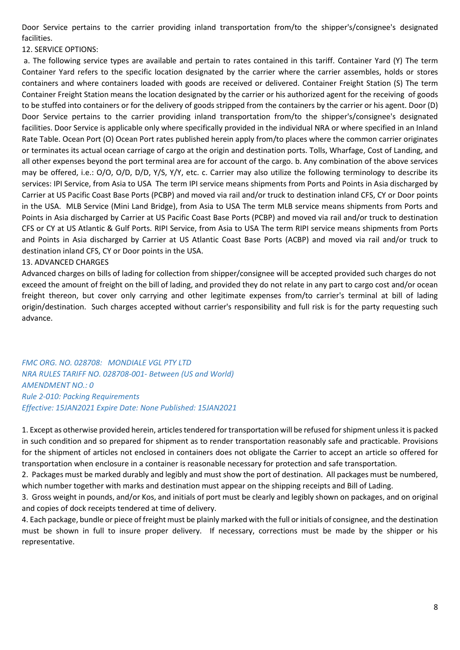Door Service pertains to the carrier providing inland transportation from/to the shipper's/consignee's designated facilities.

12. SERVICE OPTIONS:

a. The following service types are available and pertain to rates contained in this tariff. Container Yard (Y) The term Container Yard refers to the specific location designated by the carrier where the carrier assembles, holds or stores containers and where containers loaded with goods are received or delivered. Container Freight Station (S) The term Container Freight Station means the location designated by the carrier or his authorized agent for the receiving of goods to be stuffed into containers or for the delivery of goods stripped from the containers by the carrier or his agent. Door (D) Door Service pertains to the carrier providing inland transportation from/to the shipper's/consignee's designated facilities. Door Service is applicable only where specifically provided in the individual NRA or where specified in an Inland Rate Table. Ocean Port (O) Ocean Port rates published herein apply from/to places where the common carrier originates or terminates its actual ocean carriage of cargo at the origin and destination ports. Tolls, Wharfage, Cost of Landing, and all other expenses beyond the port terminal area are for account of the cargo. b. Any combination of the above services may be offered, i.e.: O/O, O/D, D/D, Y/S, Y/Y, etc. c. Carrier may also utilize the following terminology to describe its services: IPI Service, from Asia to USA The term IPI service means shipments from Ports and Points in Asia discharged by Carrier at US Pacific Coast Base Ports (PCBP) and moved via rail and/or truck to destination inland CFS, CY or Door points in the USA. MLB Service (Mini Land Bridge), from Asia to USA The term MLB service means shipments from Ports and Points in Asia discharged by Carrier at US Pacific Coast Base Ports (PCBP) and moved via rail and/or truck to destination CFS or CY at US Atlantic & Gulf Ports. RIPI Service, from Asia to USA The term RIPI service means shipments from Ports and Points in Asia discharged by Carrier at US Atlantic Coast Base Ports (ACBP) and moved via rail and/or truck to destination inland CFS, CY or Door points in the USA.

### 13. ADVANCED CHARGES

Advanced charges on bills of lading for collection from shipper/consignee will be accepted provided such charges do not exceed the amount of freight on the bill of lading, and provided they do not relate in any part to cargo cost and/or ocean freight thereon, but cover only carrying and other legitimate expenses from/to carrier's terminal at bill of lading origin/destination. Such charges accepted without carrier's responsibility and full risk is for the party requesting such advance.

*FMC ORG. NO. 028708: MONDIALE VGL PTY LTD NRA RULES TARIFF NO. 028708-001- Between (US and World) AMENDMENT NO.: 0 Rule 2-010: Packing Requirements Effective: 15JAN2021 Expire Date: None Published: 15JAN2021* 

1. Except as otherwise provided herein, articles tendered for transportation will be refused for shipment unless it is packed in such condition and so prepared for shipment as to render transportation reasonably safe and practicable. Provisions for the shipment of articles not enclosed in containers does not obligate the Carrier to accept an article so offered for transportation when enclosure in a container is reasonable necessary for protection and safe transportation.

2. Packages must be marked durably and legibly and must show the port of destination. All packages must be numbered, which number together with marks and destination must appear on the shipping receipts and Bill of Lading.

3. Gross weight in pounds, and/or Kos, and initials of port must be clearly and legibly shown on packages, and on original and copies of dock receipts tendered at time of delivery.

4. Each package, bundle or piece of freight must be plainly marked with the full or initials of consignee, and the destination must be shown in full to insure proper delivery. If necessary, corrections must be made by the shipper or his representative.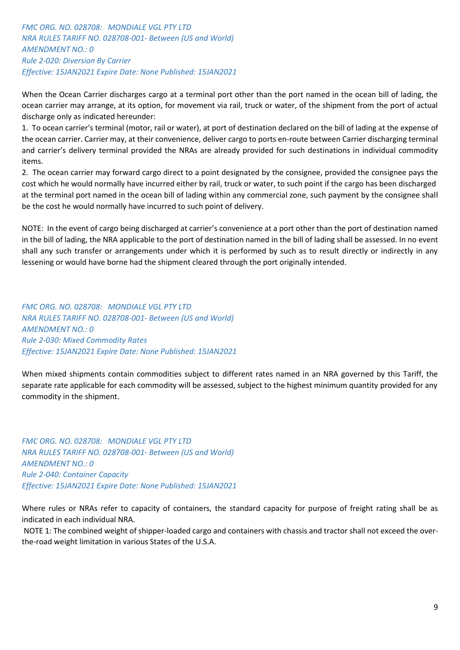*FMC ORG. NO. 028708: MONDIALE VGL PTY LTD NRA RULES TARIFF NO. 028708-001- Between (US and World) AMENDMENT NO.: 0 Rule 2-020: Diversion By Carrier Effective: 15JAN2021 Expire Date: None Published: 15JAN2021* 

When the Ocean Carrier discharges cargo at a terminal port other than the port named in the ocean bill of lading, the ocean carrier may arrange, at its option, for movement via rail, truck or water, of the shipment from the port of actual discharge only as indicated hereunder:

1. To ocean carrier's terminal (motor, rail or water), at port of destination declared on the bill of lading at the expense of the ocean carrier. Carrier may, at their convenience, deliver cargo to ports en-route between Carrier discharging terminal and carrier's delivery terminal provided the NRAs are already provided for such destinations in individual commodity items.

2. The ocean carrier may forward cargo direct to a point designated by the consignee, provided the consignee pays the cost which he would normally have incurred either by rail, truck or water, to such point if the cargo has been discharged at the terminal port named in the ocean bill of lading within any commercial zone, such payment by the consignee shall be the cost he would normally have incurred to such point of delivery.

NOTE: In the event of cargo being discharged at carrier's convenience at a port other than the port of destination named in the bill of lading, the NRA applicable to the port of destination named in the bill of lading shall be assessed. In no event shall any such transfer or arrangements under which it is performed by such as to result directly or indirectly in any lessening or would have borne had the shipment cleared through the port originally intended.

*FMC ORG. NO. 028708: MONDIALE VGL PTY LTD NRA RULES TARIFF NO. 028708-001- Between (US and World) AMENDMENT NO.: 0 Rule 2-030: Mixed Commodity Rates Effective: 15JAN2021 Expire Date: None Published: 15JAN2021* 

When mixed shipments contain commodities subject to different rates named in an NRA governed by this Tariff, the separate rate applicable for each commodity will be assessed, subject to the highest minimum quantity provided for any commodity in the shipment.

*FMC ORG. NO. 028708: MONDIALE VGL PTY LTD NRA RULES TARIFF NO. 028708-001- Between (US and World) AMENDMENT NO.: 0 Rule 2-040: Container Capacity Effective: 15JAN2021 Expire Date: None Published: 15JAN2021* 

Where rules or NRAs refer to capacity of containers, the standard capacity for purpose of freight rating shall be as indicated in each individual NRA.

NOTE 1: The combined weight of shipper-loaded cargo and containers with chassis and tractor shall not exceed the overthe-road weight limitation in various States of the U.S.A.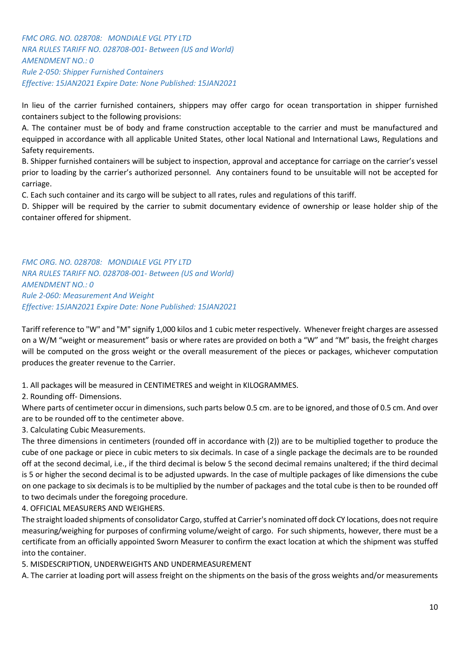*FMC ORG. NO. 028708: MONDIALE VGL PTY LTD NRA RULES TARIFF NO. 028708-001- Between (US and World) AMENDMENT NO.: 0 Rule 2-050: Shipper Furnished Containers Effective: 15JAN2021 Expire Date: None Published: 15JAN2021* 

In lieu of the carrier furnished containers, shippers may offer cargo for ocean transportation in shipper furnished containers subject to the following provisions:

A. The container must be of body and frame construction acceptable to the carrier and must be manufactured and equipped in accordance with all applicable United States, other local National and International Laws, Regulations and Safety requirements.

B. Shipper furnished containers will be subject to inspection, approval and acceptance for carriage on the carrier's vessel prior to loading by the carrier's authorized personnel. Any containers found to be unsuitable will not be accepted for carriage.

C. Each such container and its cargo will be subject to all rates, rules and regulations of this tariff.

D. Shipper will be required by the carrier to submit documentary evidence of ownership or lease holder ship of the container offered for shipment.

*FMC ORG. NO. 028708: MONDIALE VGL PTY LTD NRA RULES TARIFF NO. 028708-001- Between (US and World) AMENDMENT NO.: 0 Rule 2-060: Measurement And Weight Effective: 15JAN2021 Expire Date: None Published: 15JAN2021* 

Tariff reference to "W" and "M" signify 1,000 kilos and 1 cubic meter respectively. Whenever freight charges are assessed on a W/M "weight or measurement" basis or where rates are provided on both a "W" and "M" basis, the freight charges will be computed on the gross weight or the overall measurement of the pieces or packages, whichever computation produces the greater revenue to the Carrier.

1. All packages will be measured in CENTIMETRES and weight in KILOGRAMMES.

2. Rounding off- Dimensions.

Where parts of centimeter occur in dimensions, such parts below 0.5 cm. are to be ignored, and those of 0.5 cm. And over are to be rounded off to the centimeter above.

3. Calculating Cubic Measurements.

The three dimensions in centimeters (rounded off in accordance with (2)) are to be multiplied together to produce the cube of one package or piece in cubic meters to six decimals. In case of a single package the decimals are to be rounded off at the second decimal, i.e., if the third decimal is below 5 the second decimal remains unaltered; if the third decimal is 5 or higher the second decimal is to be adjusted upwards. In the case of multiple packages of like dimensions the cube on one package to six decimals is to be multiplied by the number of packages and the total cube is then to be rounded off to two decimals under the foregoing procedure.

4. OFFICIAL MEASURERS AND WEIGHERS.

The straight loaded shipments of consolidator Cargo, stuffed at Carrier's nominated off dock CY locations, does not require measuring/weighing for purposes of confirming volume/weight of cargo. For such shipments, however, there must be a certificate from an officially appointed Sworn Measurer to confirm the exact location at which the shipment was stuffed into the container.

5. MISDESCRIPTION, UNDERWEIGHTS AND UNDERMEASUREMENT

A. The carrier at loading port will assess freight on the shipments on the basis of the gross weights and/or measurements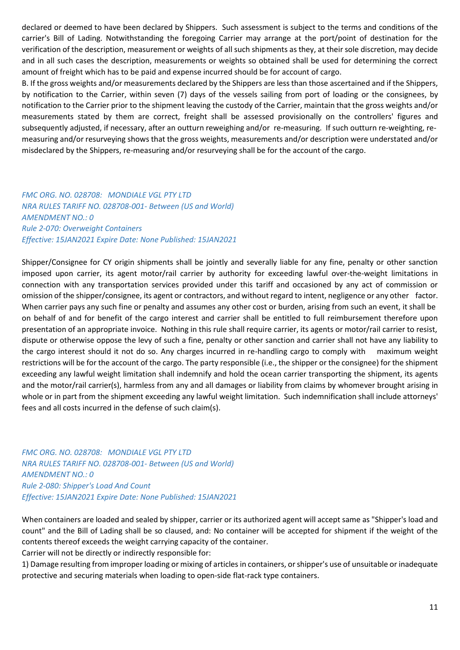declared or deemed to have been declared by Shippers. Such assessment is subject to the terms and conditions of the carrier's Bill of Lading. Notwithstanding the foregoing Carrier may arrange at the port/point of destination for the verification of the description, measurement or weights of all such shipments as they, at their sole discretion, may decide and in all such cases the description, measurements or weights so obtained shall be used for determining the correct amount of freight which has to be paid and expense incurred should be for account of cargo.

B. If the gross weights and/or measurements declared by the Shippers are less than those ascertained and if the Shippers, by notification to the Carrier, within seven (7) days of the vessels sailing from port of loading or the consignees, by notification to the Carrier prior to the shipment leaving the custody of the Carrier, maintain that the gross weights and/or measurements stated by them are correct, freight shall be assessed provisionally on the controllers' figures and subsequently adjusted, if necessary, after an outturn reweighing and/or re-measuring. If such outturn re-weighting, remeasuring and/or resurveying shows that the gross weights, measurements and/or description were understated and/or misdeclared by the Shippers, re-measuring and/or resurveying shall be for the account of the cargo.

# *FMC ORG. NO. 028708: MONDIALE VGL PTY LTD NRA RULES TARIFF NO. 028708-001- Between (US and World) AMENDMENT NO.: 0 Rule 2-070: Overweight Containers Effective: 15JAN2021 Expire Date: None Published: 15JAN2021*

Shipper/Consignee for CY origin shipments shall be jointly and severally liable for any fine, penalty or other sanction imposed upon carrier, its agent motor/rail carrier by authority for exceeding lawful over-the-weight limitations in connection with any transportation services provided under this tariff and occasioned by any act of commission or omission of the shipper/consignee, its agent or contractors, and without regard to intent, negligence or any other factor. When carrier pays any such fine or penalty and assumes any other cost or burden, arising from such an event, it shall be on behalf of and for benefit of the cargo interest and carrier shall be entitled to full reimbursement therefore upon presentation of an appropriate invoice. Nothing in this rule shall require carrier, its agents or motor/rail carrier to resist, dispute or otherwise oppose the levy of such a fine, penalty or other sanction and carrier shall not have any liability to the cargo interest should it not do so. Any charges incurred in re-handling cargo to comply with maximum weight restrictions will be for the account of the cargo. The party responsible (i.e., the shipper or the consignee) for the shipment exceeding any lawful weight limitation shall indemnify and hold the ocean carrier transporting the shipment, its agents and the motor/rail carrier(s), harmless from any and all damages or liability from claims by whomever brought arising in whole or in part from the shipment exceeding any lawful weight limitation. Such indemnification shall include attorneys' fees and all costs incurred in the defense of such claim(s).

*FMC ORG. NO. 028708: MONDIALE VGL PTY LTD NRA RULES TARIFF NO. 028708-001- Between (US and World) AMENDMENT NO.: 0 Rule 2-080: Shipper's Load And Count Effective: 15JAN2021 Expire Date: None Published: 15JAN2021* 

When containers are loaded and sealed by shipper, carrier or its authorized agent will accept same as "Shipper's load and count" and the Bill of Lading shall be so claused, and: No container will be accepted for shipment if the weight of the contents thereof exceeds the weight carrying capacity of the container.

Carrier will not be directly or indirectly responsible for:

1) Damage resulting from improper loading or mixing of articles in containers, or shipper's use of unsuitable or inadequate protective and securing materials when loading to open-side flat-rack type containers.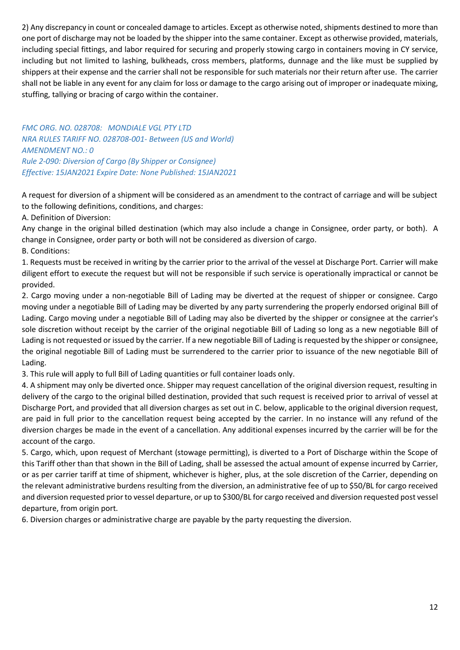2) Any discrepancy in count or concealed damage to articles. Except as otherwise noted, shipments destined to more than one port of discharge may not be loaded by the shipper into the same container. Except as otherwise provided, materials, including special fittings, and labor required for securing and properly stowing cargo in containers moving in CY service, including but not limited to lashing, bulkheads, cross members, platforms, dunnage and the like must be supplied by shippers at their expense and the carrier shall not be responsible for such materials nor their return after use. The carrier shall not be liable in any event for any claim for loss or damage to the cargo arising out of improper or inadequate mixing, stuffing, tallying or bracing of cargo within the container.

*FMC ORG. NO. 028708: MONDIALE VGL PTY LTD NRA RULES TARIFF NO. 028708-001- Between (US and World) AMENDMENT NO.: 0 Rule 2-090: Diversion of Cargo (By Shipper or Consignee) Effective: 15JAN2021 Expire Date: None Published: 15JAN2021* 

A request for diversion of a shipment will be considered as an amendment to the contract of carriage and will be subject to the following definitions, conditions, and charges:

A. Definition of Diversion:

Any change in the original billed destination (which may also include a change in Consignee, order party, or both). A change in Consignee, order party or both will not be considered as diversion of cargo.

B. Conditions:

1. Requests must be received in writing by the carrier prior to the arrival of the vessel at Discharge Port. Carrier will make diligent effort to execute the request but will not be responsible if such service is operationally impractical or cannot be provided.

2. Cargo moving under a non-negotiable Bill of Lading may be diverted at the request of shipper or consignee. Cargo moving under a negotiable Bill of Lading may be diverted by any party surrendering the properly endorsed original Bill of Lading. Cargo moving under a negotiable Bill of Lading may also be diverted by the shipper or consignee at the carrier's sole discretion without receipt by the carrier of the original negotiable Bill of Lading so long as a new negotiable Bill of Lading is not requested or issued by the carrier. If a new negotiable Bill of Lading is requested by the shipper or consignee, the original negotiable Bill of Lading must be surrendered to the carrier prior to issuance of the new negotiable Bill of Lading.

3. This rule will apply to full Bill of Lading quantities or full container loads only.

4. A shipment may only be diverted once. Shipper may request cancellation of the original diversion request, resulting in delivery of the cargo to the original billed destination, provided that such request is received prior to arrival of vessel at Discharge Port, and provided that all diversion charges as set out in C. below, applicable to the original diversion request, are paid in full prior to the cancellation request being accepted by the carrier. In no instance will any refund of the diversion charges be made in the event of a cancellation. Any additional expenses incurred by the carrier will be for the account of the cargo.

5. Cargo, which, upon request of Merchant (stowage permitting), is diverted to a Port of Discharge within the Scope of this Tariff other than that shown in the Bill of Lading, shall be assessed the actual amount of expense incurred by Carrier, or as per carrier tariff at time of shipment, whichever is higher, plus, at the sole discretion of the Carrier, depending on the relevant administrative burdens resulting from the diversion, an administrative fee of up to \$50/BL for cargo received and diversion requested prior to vessel departure, or up to \$300/BL for cargo received and diversion requested post vessel departure, from origin port.

6. Diversion charges or administrative charge are payable by the party requesting the diversion.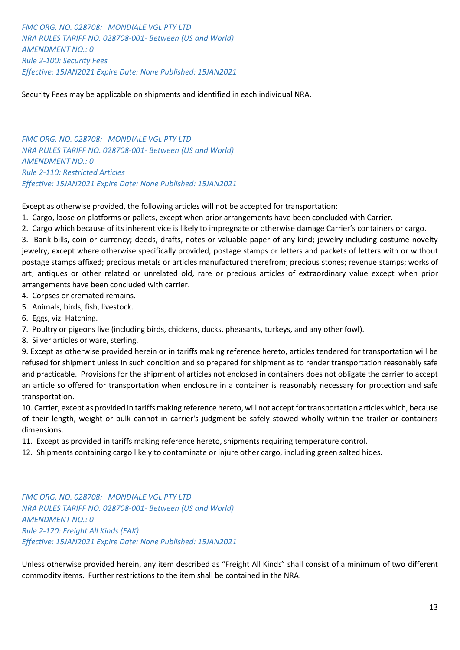*FMC ORG. NO. 028708: MONDIALE VGL PTY LTD NRA RULES TARIFF NO. 028708-001- Between (US and World) AMENDMENT NO.: 0 Rule 2-100: Security Fees Effective: 15JAN2021 Expire Date: None Published: 15JAN2021* 

Security Fees may be applicable on shipments and identified in each individual NRA.

*FMC ORG. NO. 028708: MONDIALE VGL PTY LTD NRA RULES TARIFF NO. 028708-001- Between (US and World) AMENDMENT NO.: 0 Rule 2-110: Restricted Articles Effective: 15JAN2021 Expire Date: None Published: 15JAN2021* 

Except as otherwise provided, the following articles will not be accepted for transportation:

1. Cargo, loose on platforms or pallets, except when prior arrangements have been concluded with Carrier.

2. Cargo which because of its inherent vice is likely to impregnate or otherwise damage Carrier's containers or cargo.

3. Bank bills, coin or currency; deeds, drafts, notes or valuable paper of any kind; jewelry including costume novelty jewelry, except where otherwise specifically provided, postage stamps or letters and packets of letters with or without postage stamps affixed; precious metals or articles manufactured therefrom; precious stones; revenue stamps; works of art; antiques or other related or unrelated old, rare or precious articles of extraordinary value except when prior arrangements have been concluded with carrier.

- 4. Corpses or cremated remains.
- 5. Animals, birds, fish, livestock.
- 6. Eggs, viz: Hatching.
- 7. Poultry or pigeons live (including birds, chickens, ducks, pheasants, turkeys, and any other fowl).
- 8. Silver articles or ware, sterling.

9. Except as otherwise provided herein or in tariffs making reference hereto, articles tendered for transportation will be refused for shipment unless in such condition and so prepared for shipment as to render transportation reasonably safe and practicable. Provisions for the shipment of articles not enclosed in containers does not obligate the carrier to accept an article so offered for transportation when enclosure in a container is reasonably necessary for protection and safe transportation.

10. Carrier, except as provided in tariffs making reference hereto, will not accept for transportation articles which, because of their length, weight or bulk cannot in carrier's judgment be safely stowed wholly within the trailer or containers dimensions.

11. Except as provided in tariffs making reference hereto, shipments requiring temperature control.

12. Shipments containing cargo likely to contaminate or injure other cargo, including green salted hides.

*FMC ORG. NO. 028708: MONDIALE VGL PTY LTD NRA RULES TARIFF NO. 028708-001- Between (US and World) AMENDMENT NO.: 0 Rule 2-120: Freight All Kinds (FAK) Effective: 15JAN2021 Expire Date: None Published: 15JAN2021* 

Unless otherwise provided herein, any item described as "Freight All Kinds" shall consist of a minimum of two different commodity items. Further restrictions to the item shall be contained in the NRA.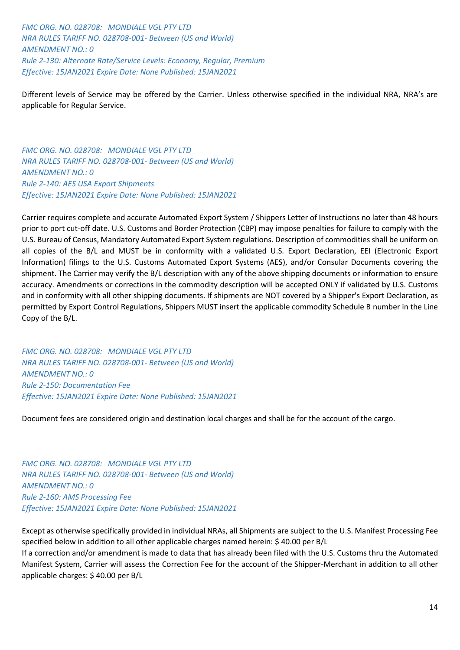*FMC ORG. NO. 028708: MONDIALE VGL PTY LTD NRA RULES TARIFF NO. 028708-001- Between (US and World) AMENDMENT NO.: 0 Rule 2-130: Alternate Rate/Service Levels: Economy, Regular, Premium Effective: 15JAN2021 Expire Date: None Published: 15JAN2021* 

Different levels of Service may be offered by the Carrier. Unless otherwise specified in the individual NRA, NRA's are applicable for Regular Service.

*FMC ORG. NO. 028708: MONDIALE VGL PTY LTD NRA RULES TARIFF NO. 028708-001- Between (US and World) AMENDMENT NO.: 0 Rule 2-140: AES USA Export Shipments Effective: 15JAN2021 Expire Date: None Published: 15JAN2021* 

Carrier requires complete and accurate Automated Export System / Shippers Letter of Instructions no later than 48 hours prior to port cut-off date. U.S. Customs and Border Protection (CBP) may impose penalties for failure to comply with the U.S. Bureau of Census, Mandatory Automated Export System regulations. Description of commodities shall be uniform on all copies of the B/L and MUST be in conformity with a validated U.S. Export Declaration, EEI (Electronic Export Information) filings to the U.S. Customs Automated Export Systems (AES), and/or Consular Documents covering the shipment. The Carrier may verify the B/L description with any of the above shipping documents or information to ensure accuracy. Amendments or corrections in the commodity description will be accepted ONLY if validated by U.S. Customs and in conformity with all other shipping documents. If shipments are NOT covered by a Shipper's Export Declaration, as permitted by Export Control Regulations, Shippers MUST insert the applicable commodity Schedule B number in the Line Copy of the B/L.

*FMC ORG. NO. 028708: MONDIALE VGL PTY LTD NRA RULES TARIFF NO. 028708-001- Between (US and World) AMENDMENT NO.: 0 Rule 2-150: Documentation Fee Effective: 15JAN2021 Expire Date: None Published: 15JAN2021* 

Document fees are considered origin and destination local charges and shall be for the account of the cargo.

*FMC ORG. NO. 028708: MONDIALE VGL PTY LTD NRA RULES TARIFF NO. 028708-001- Between (US and World) AMENDMENT NO.: 0 Rule 2-160: AMS Processing Fee Effective: 15JAN2021 Expire Date: None Published: 15JAN2021* 

Except as otherwise specifically provided in individual NRAs, all Shipments are subject to the U.S. Manifest Processing Fee specified below in addition to all other applicable charges named herein: \$ 40.00 per B/L

If a correction and/or amendment is made to data that has already been filed with the U.S. Customs thru the Automated Manifest System, Carrier will assess the Correction Fee for the account of the Shipper-Merchant in addition to all other applicable charges: \$ 40.00 per B/L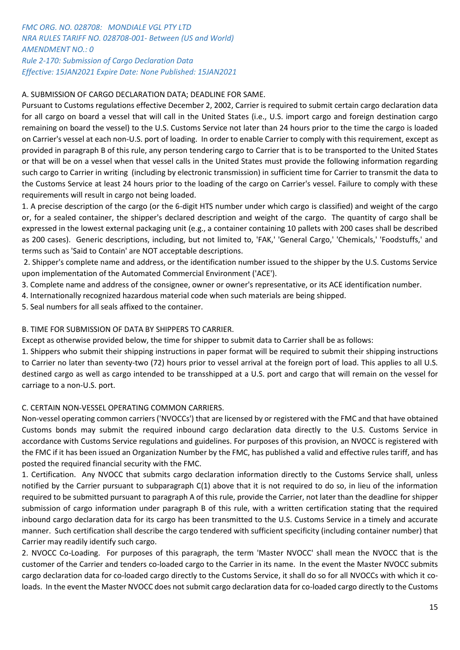# *FMC ORG. NO. 028708: MONDIALE VGL PTY LTD NRA RULES TARIFF NO. 028708-001- Between (US and World) AMENDMENT NO.: 0 Rule 2-170: Submission of Cargo Declaration Data Effective: 15JAN2021 Expire Date: None Published: 15JAN2021*

# A. SUBMISSION OF CARGO DECLARATION DATA; DEADLINE FOR SAME.

Pursuant to Customs regulations effective December 2, 2002, Carrier is required to submit certain cargo declaration data for all cargo on board a vessel that will call in the United States (i.e., U.S. import cargo and foreign destination cargo remaining on board the vessel) to the U.S. Customs Service not later than 24 hours prior to the time the cargo is loaded on Carrier's vessel at each non-U.S. port of loading. In order to enable Carrier to comply with this requirement, except as provided in paragraph B of this rule, any person tendering cargo to Carrier that is to be transported to the United States or that will be on a vessel when that vessel calls in the United States must provide the following information regarding such cargo to Carrier in writing (including by electronic transmission) in sufficient time for Carrier to transmit the data to the Customs Service at least 24 hours prior to the loading of the cargo on Carrier's vessel. Failure to comply with these requirements will result in cargo not being loaded.

1. A precise description of the cargo (or the 6-digit HTS number under which cargo is classified) and weight of the cargo or, for a sealed container, the shipper's declared description and weight of the cargo. The quantity of cargo shall be expressed in the lowest external packaging unit (e.g., a container containing 10 pallets with 200 cases shall be described as 200 cases). Generic descriptions, including, but not limited to, 'FAK,' 'General Cargo,' 'Chemicals,' 'Foodstuffs,' and terms such as 'Said to Contain' are NOT acceptable descriptions.

2. Shipper's complete name and address, or the identification number issued to the shipper by the U.S. Customs Service upon implementation of the Automated Commercial Environment ('ACE').

- 3. Complete name and address of the consignee, owner or owner's representative, or its ACE identification number.
- 4. Internationally recognized hazardous material code when such materials are being shipped.
- 5. Seal numbers for all seals affixed to the container.

# B. TIME FOR SUBMISSION OF DATA BY SHIPPERS TO CARRIER.

Except as otherwise provided below, the time for shipper to submit data to Carrier shall be as follows:

1. Shippers who submit their shipping instructions in paper format will be required to submit their shipping instructions to Carrier no later than seventy-two (72) hours prior to vessel arrival at the foreign port of load. This applies to all U.S. destined cargo as well as cargo intended to be transshipped at a U.S. port and cargo that will remain on the vessel for carriage to a non-U.S. port.

# C. CERTAIN NON-VESSEL OPERATING COMMON CARRIERS.

Non-vessel operating common carriers ('NVOCCs') that are licensed by or registered with the FMC and that have obtained Customs bonds may submit the required inbound cargo declaration data directly to the U.S. Customs Service in accordance with Customs Service regulations and guidelines. For purposes of this provision, an NVOCC is registered with the FMC if it has been issued an Organization Number by the FMC, has published a valid and effective rules tariff, and has posted the required financial security with the FMC.

1. Certification. Any NVOCC that submits cargo declaration information directly to the Customs Service shall, unless notified by the Carrier pursuant to subparagraph C(1) above that it is not required to do so, in lieu of the information required to be submitted pursuant to paragraph A of this rule, provide the Carrier, not later than the deadline for shipper submission of cargo information under paragraph B of this rule, with a written certification stating that the required inbound cargo declaration data for its cargo has been transmitted to the U.S. Customs Service in a timely and accurate manner. Such certification shall describe the cargo tendered with sufficient specificity (including container number) that Carrier may readily identify such cargo.

2. NVOCC Co-Loading. For purposes of this paragraph, the term 'Master NVOCC' shall mean the NVOCC that is the customer of the Carrier and tenders co-loaded cargo to the Carrier in its name. In the event the Master NVOCC submits cargo declaration data for co-loaded cargo directly to the Customs Service, it shall do so for all NVOCCs with which it coloads. In the event the Master NVOCC does not submit cargo declaration data for co-loaded cargo directly to the Customs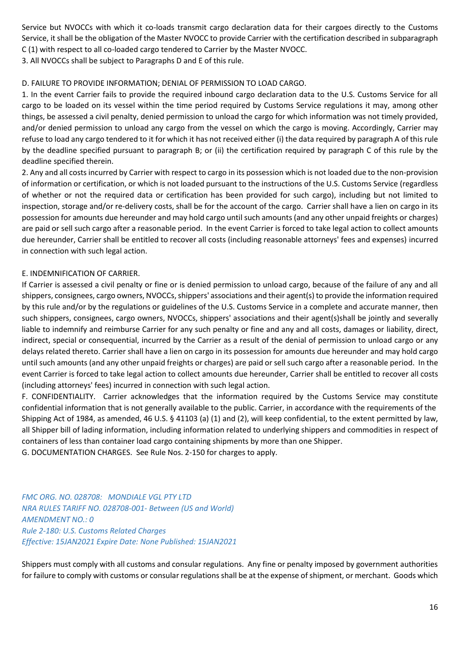Service but NVOCCs with which it co-loads transmit cargo declaration data for their cargoes directly to the Customs Service, it shall be the obligation of the Master NVOCC to provide Carrier with the certification described in subparagraph C (1) with respect to all co-loaded cargo tendered to Carrier by the Master NVOCC.

3. All NVOCCs shall be subject to Paragraphs D and E of this rule.

## D. FAILURE TO PROVIDE INFORMATION; DENIAL OF PERMISSION TO LOAD CARGO.

1. In the event Carrier fails to provide the required inbound cargo declaration data to the U.S. Customs Service for all cargo to be loaded on its vessel within the time period required by Customs Service regulations it may, among other things, be assessed a civil penalty, denied permission to unload the cargo for which information was not timely provided, and/or denied permission to unload any cargo from the vessel on which the cargo is moving. Accordingly, Carrier may refuse to load any cargo tendered to it for which it has not received either (i) the data required by paragraph A of this rule by the deadline specified pursuant to paragraph B; or (ii) the certification required by paragraph C of this rule by the deadline specified therein.

2. Any and all costs incurred by Carrier with respect to cargo in its possession which is not loaded due to the non-provision of information or certification, or which is not loaded pursuant to the instructions of the U.S. Customs Service (regardless of whether or not the required data or certification has been provided for such cargo), including but not limited to inspection, storage and/or re-delivery costs, shall be for the account of the cargo. Carrier shall have a lien on cargo in its possession for amounts due hereunder and may hold cargo until such amounts (and any other unpaid freights or charges) are paid or sell such cargo after a reasonable period. In the event Carrier is forced to take legal action to collect amounts due hereunder, Carrier shall be entitled to recover all costs (including reasonable attorneys' fees and expenses) incurred in connection with such legal action.

## E. INDEMNIFICATION OF CARRIER.

If Carrier is assessed a civil penalty or fine or is denied permission to unload cargo, because of the failure of any and all shippers, consignees, cargo owners, NVOCCs, shippers' associations and their agent(s) to provide the information required by this rule and/or by the regulations or guidelines of the U.S. Customs Service in a complete and accurate manner, then such shippers, consignees, cargo owners, NVOCCs, shippers' associations and their agent(s)shall be jointly and severally liable to indemnify and reimburse Carrier for any such penalty or fine and any and all costs, damages or liability, direct, indirect, special or consequential, incurred by the Carrier as a result of the denial of permission to unload cargo or any delays related thereto. Carrier shall have a lien on cargo in its possession for amounts due hereunder and may hold cargo until such amounts (and any other unpaid freights or charges) are paid or sell such cargo after a reasonable period. In the event Carrier is forced to take legal action to collect amounts due hereunder, Carrier shall be entitled to recover all costs (including attorneys' fees) incurred in connection with such legal action.

F. CONFIDENTIALITY. Carrier acknowledges that the information required by the Customs Service may constitute confidential information that is not generally available to the public. Carrier, in accordance with the requirements of the Shipping Act of 1984, as amended, 46 U.S. § 41103 (a) (1) and (2), will keep confidential, to the extent permitted by law, all Shipper bill of lading information, including information related to underlying shippers and commodities in respect of containers of less than container load cargo containing shipments by more than one Shipper.

G. DOCUMENTATION CHARGES. See Rule Nos. 2-150 for charges to apply.

*FMC ORG. NO. 028708: MONDIALE VGL PTY LTD NRA RULES TARIFF NO. 028708-001- Between (US and World) AMENDMENT NO.: 0 Rule 2-180: U.S. Customs Related Charges Effective: 15JAN2021 Expire Date: None Published: 15JAN2021* 

Shippers must comply with all customs and consular regulations. Any fine or penalty imposed by government authorities for failure to comply with customs or consular regulations shall be at the expense of shipment, or merchant. Goods which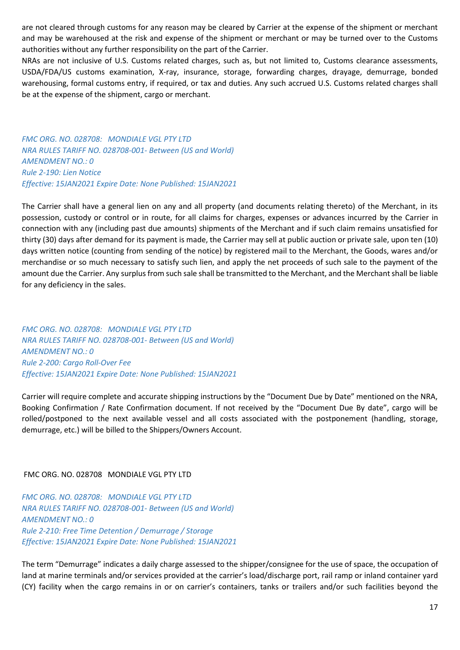are not cleared through customs for any reason may be cleared by Carrier at the expense of the shipment or merchant and may be warehoused at the risk and expense of the shipment or merchant or may be turned over to the Customs authorities without any further responsibility on the part of the Carrier.

NRAs are not inclusive of U.S. Customs related charges, such as, but not limited to, Customs clearance assessments, USDA/FDA/US customs examination, X-ray, insurance, storage, forwarding charges, drayage, demurrage, bonded warehousing, formal customs entry, if required, or tax and duties. Any such accrued U.S. Customs related charges shall be at the expense of the shipment, cargo or merchant.

*FMC ORG. NO. 028708: MONDIALE VGL PTY LTD NRA RULES TARIFF NO. 028708-001- Between (US and World) AMENDMENT NO.: 0 Rule 2-190: Lien Notice Effective: 15JAN2021 Expire Date: None Published: 15JAN2021* 

The Carrier shall have a general lien on any and all property (and documents relating thereto) of the Merchant, in its possession, custody or control or in route, for all claims for charges, expenses or advances incurred by the Carrier in connection with any (including past due amounts) shipments of the Merchant and if such claim remains unsatisfied for thirty (30) days after demand for its payment is made, the Carrier may sell at public auction or private sale, upon ten (10) days written notice (counting from sending of the notice) by registered mail to the Merchant, the Goods, wares and/or merchandise or so much necessary to satisfy such lien, and apply the net proceeds of such sale to the payment of the amount due the Carrier. Any surplus from such sale shall be transmitted to the Merchant, and the Merchant shall be liable for any deficiency in the sales.

*FMC ORG. NO. 028708: MONDIALE VGL PTY LTD NRA RULES TARIFF NO. 028708-001- Between (US and World) AMENDMENT NO.: 0 Rule 2-200: Cargo Roll-Over Fee Effective: 15JAN2021 Expire Date: None Published: 15JAN2021* 

Carrier will require complete and accurate shipping instructions by the "Document Due by Date" mentioned on the NRA, Booking Confirmation / Rate Confirmation document. If not received by the "Document Due By date", cargo will be rolled/postponed to the next available vessel and all costs associated with the postponement (handling, storage, demurrage, etc.) will be billed to the Shippers/Owners Account.

FMC ORG. NO. 028708 MONDIALE VGL PTY LTD

*FMC ORG. NO. 028708: MONDIALE VGL PTY LTD NRA RULES TARIFF NO. 028708-001- Between (US and World) AMENDMENT NO.: 0 Rule 2-210: Free Time Detention / Demurrage / Storage Effective: 15JAN2021 Expire Date: None Published: 15JAN2021* 

The term "Demurrage" indicates a daily charge assessed to the shipper/consignee for the use of space, the occupation of land at marine terminals and/or services provided at the carrier's load/discharge port, rail ramp or inland container yard (CY) facility when the cargo remains in or on carrier's containers, tanks or trailers and/or such facilities beyond the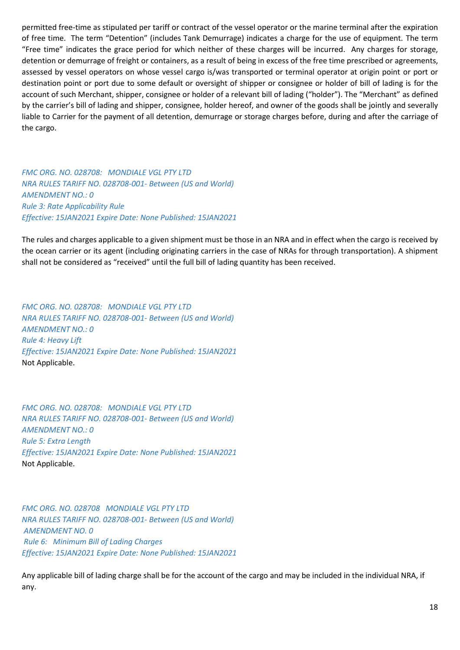permitted free-time as stipulated per tariff or contract of the vessel operator or the marine terminal after the expiration of free time. The term "Detention" (includes Tank Demurrage) indicates a charge for the use of equipment. The term "Free time" indicates the grace period for which neither of these charges will be incurred. Any charges for storage, detention or demurrage of freight or containers, as a result of being in excess of the free time prescribed or agreements, assessed by vessel operators on whose vessel cargo is/was transported or terminal operator at origin point or port or destination point or port due to some default or oversight of shipper or consignee or holder of bill of lading is for the account of such Merchant, shipper, consignee or holder of a relevant bill of lading ("holder"). The "Merchant" as defined by the carrier's bill of lading and shipper, consignee, holder hereof, and owner of the goods shall be jointly and severally liable to Carrier for the payment of all detention, demurrage or storage charges before, during and after the carriage of the cargo.

*FMC ORG. NO. 028708: MONDIALE VGL PTY LTD NRA RULES TARIFF NO. 028708-001- Between (US and World) AMENDMENT NO.: 0 Rule 3: Rate Applicability Rule Effective: 15JAN2021 Expire Date: None Published: 15JAN2021* 

The rules and charges applicable to a given shipment must be those in an NRA and in effect when the cargo is received by the ocean carrier or its agent (including originating carriers in the case of NRAs for through transportation). A shipment shall not be considered as "received" until the full bill of lading quantity has been received.

*FMC ORG. NO. 028708: MONDIALE VGL PTY LTD NRA RULES TARIFF NO. 028708-001- Between (US and World) AMENDMENT NO.: 0 Rule 4: Heavy Lift Effective: 15JAN2021 Expire Date: None Published: 15JAN2021*  Not Applicable.

*FMC ORG. NO. 028708: MONDIALE VGL PTY LTD NRA RULES TARIFF NO. 028708-001- Between (US and World) AMENDMENT NO.: 0 Rule 5: Extra Length Effective: 15JAN2021 Expire Date: None Published: 15JAN2021*  Not Applicable.

*FMC ORG. NO. 028708 MONDIALE VGL PTY LTD NRA RULES TARIFF NO. 028708-001- Between (US and World) AMENDMENT NO. 0 Rule 6: Minimum Bill of Lading Charges Effective: 15JAN2021 Expire Date: None Published: 15JAN2021*

Any applicable bill of lading charge shall be for the account of the cargo and may be included in the individual NRA, if any.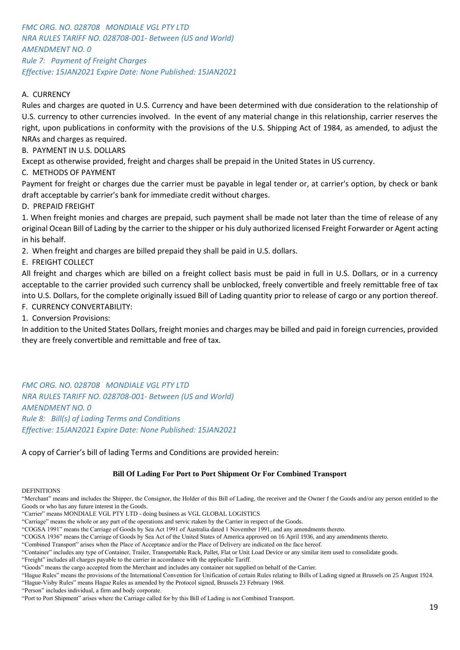*FMC ORG. NO. 028708 MONDIALE VGL PTY LTD NRA RULES TARIFF NO. 028708-001- Between (US and World) AMENDMENT NO. 0 Rule 7: Payment of Freight Charges Effective: 15JAN2021 Expire Date: None Published: 15JAN2021*

# A. CURRENCY

Rules and charges are quoted in U.S. Currency and have been determined with due consideration to the relationship of U.S. currency to other currencies involved. In the event of any material change in this relationship, carrier reserves the right, upon publications in conformity with the provisions of the U.S. Shipping Act of 1984, as amended, to adjust the NRAs and charges as required.

B. PAYMENT IN U.S. DOLLARS

Except as otherwise provided, freight and charges shall be prepaid in the United States in US currency.

C. METHODS OF PAYMENT

Payment for freight or charges due the carrier must be payable in legal tender or, at carrier's option, by check or bank draft acceptable by carrier's bank for immediate credit without charges.

D. PREPAID FREIGHT

1. When freight monies and charges are prepaid, such payment shall be made not later than the time of release of any original Ocean Bill of Lading by the carrier to the shipper or his duly authorized licensed Freight Forwarder or Agent acting in his behalf.

2. When freight and charges are billed prepaid they shall be paid in U.S. dollars.

E. FREIGHT COLLECT

All freight and charges which are billed on a freight collect basis must be paid in full in U.S. Dollars, or in a currency acceptable to the carrier provided such currency shall be unblocked, freely convertible and freely remittable free of tax into U.S. Dollars, for the complete originally issued Bill of Lading quantity prior to release of cargo or any portion thereof. F. CURRENCY CONVERTABILITY:

1. Conversion Provisions:

In addition to the United States Dollars, freight monies and charges may be billed and paid in foreign currencies, provided they are freely convertible and remittable and free of tax.

*FMC ORG. NO. 028708 MONDIALE VGL PTY LTD NRA RULES TARIFF NO. 028708-001- Between (US and World) AMENDMENT NO. 0 Rule 8: Bill(s) of Lading Terms and Conditions Effective: 15JAN2021 Expire Date: None Published: 15JAN2021*

A copy of Carrier's bill of lading Terms and Conditions are provided herein:

#### **Bill Of Lading For Port to Port Shipment Or For Combined Transport**

#### **DEFINITIONS**

"Merchant" means and includes the Shipper, the Consignor, the Holder of this Bill of Lading, the receiver and the Owner f the Goods and/or any person entitled to the Goods or who has any future interest in the Goods.

"Hague-Visby Rules" means Hague Rules as amended by the Protocol signed, Brussels 23 February 1968. "Person" includes individual, a firm and body corporate.

<sup>&</sup>quot;Carrier" means MONDIALE VGL PTY LTD - doing business as VGL GLOBAL LOGISTICS

<sup>&</sup>quot;Carriage" means the whole or any part of the operations and servic rtaken by the Carrier in respect of the Goods.

<sup>&</sup>quot;COGSA 1991" means the Carriage of Goods by Sea Act 1991 of Australia dated 1 November 1991, and any amendments thereto.

<sup>&</sup>quot;COGSA 1936" means the Carriage of Goods by Sea Act of the United States of America approved on 16 April 1936, and any amendments thereto.

<sup>&</sup>quot;Combined Transport" arises when the Place of Acceptance and/or the Place of Delivery are indicated on the face hereof.

<sup>&</sup>quot;Container" includes any type of Container, Trailer, Transportable Rack, Pallet, Flat or Unit Load Device or any similar item used to consolidate goods.

<sup>&</sup>quot;Freight" includes all charges payable to the carrier in accordance with the applicable Tariff.

<sup>&</sup>quot;Goods" means the cargo accepted from the Merchant and includes any container not supplied on behalf of the Carrier.

<sup>&</sup>quot;Hague Rules" means the provisions of the International Convention for Unification of certain Rules relating to Bills of Lading signed at Brussels on 25 August 1924.

<sup>&</sup>quot;Port to Port Shipment" arises where the Carriage called for by this Bill of Lading is not Combined Transport.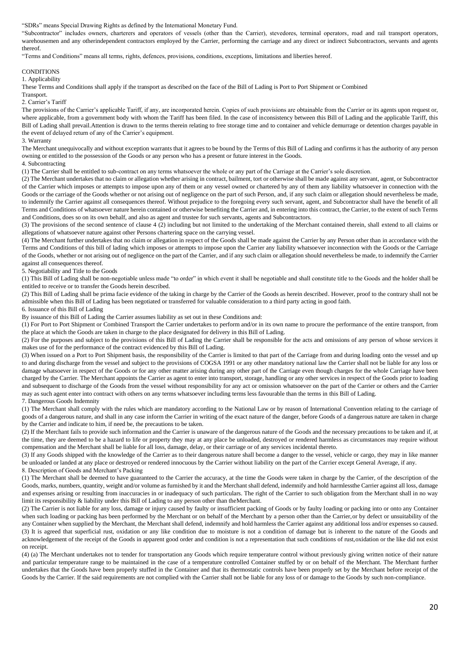"SDRs" means Special Drawing Rights as defined by the International Monetary Fund.

"Subcontractor" includes owners, charterers and operators of vessels (other than the Carrier), stevedores, terminal operators, road and rail transport operators, warehousemen and any otherindependent contractors employed by the Carrier, performing the carriage and any direct or indirect Subcontractors, servants and agents thereof.

"Terms and Conditions" means all terms, rights, defences, provisions, conditions, exceptions, limitations and liberties hereof.

#### **CONDITIONS**

1. Applicability

These Terms and Conditions shall apply if the transport as described on the face of the Bill of Lading is Port to Port Shipment or Combined

Transport. 2. Carrier's Tariff

The provisions of the Carrier's applicable Tariff, if any, are incorporated herein. Copies of such provisions are obtainable from the Carrier or its agents upon request or, where applicable, from a government body with whom the Tariff has been filed. In the case of inconsistency between this Bill of Lading and the applicable Tariff, this Bill of Lading shall prevail.Attention is drawn to the terms therein relating to free storage time and to container and vehicle demurrage or detention charges payable in the event of delayed return of any of the Carrier's equipment.

#### 3. Warranty

The Merchant unequivocally and without exception warrants that it agrees to be bound by the Terms of this Bill of Lading and confirms it has the authority of any person owning or entitled to the possession of the Goods or any person who has a present or future interest in the Goods.

4. Subcontracting

(1) The Carrier shall be entitled to sub-contract on any terms whatsoever the whole or any part of the Carriage at the Carrier's sole discretion.

(2) The Merchant undertakes that no claim or allegation whether arising in contract, bailment, tort or otherwise shall be made against any servant, agent, or Subcontractor of the Carrier which imposes or attempts to impose upon any of them or any vessel owned or chartered by any of them any liability whatsoever in connection with the Goods or the carriage of the Goods whether or not arising out of negligence on the part of such Person, and, if any such claim or allegation should nevertheless be made, to indemnify the Carrier against all consequences thereof. Without prejudice to the foregoing every such servant, agent, and Subcontractor shall have the benefit of all Terms and Conditions of whatsoever nature herein contained or otherwise benefiting the Carrier and, in entering into this contract, the Carrier, to the extent of such Terms and Conditions, does so on its own behalf, and also as agent and trustee for such servants, agents and Subcontractors.

(3) The provisions of the second sentence of clause 4 (2) including but not limited to the undertaking of the Merchant contained therein, shall extend to all claims or allegations of whatsoever nature against other Persons chartering space on the carrying vessel.

(4) The Merchant further undertakes that no claim or allegation in respect of the Goods shall be made against the Carrier by any Person other than in accordance with the Terms and Conditions of this bill of lading which imposes or attempts to impose upon the Carrier any liability whatsoever inconnection with the Goods or the Carriage of the Goods, whether or not arising out of negligence on the part of the Carrier, and if any such claim or allegation should nevertheless be made, to indemnify the Carrier against all consequences thereof.

5. Negotiability and Title to the Goods

(1) This Bill of Lading shall be non-negotiable unless made "to order" in which event it shall be negotiable and shall constitute title to the Goods and the holder shall be entitled to receive or to transfer the Goods herein described.

(2) This Bill of Lading shall be prima facie evidence of the taking in charge by the Carrier of the Goods as herein described. However, proof to the contrary shall not be admissible when this Bill of Lading has been negotiated or transferred for valuable consideration to a third party acting in good faith.

6. Issuance of this Bill of Lading

By issuance of this Bill of Lading the Carrier assumes liability as set out in these Conditions and:

(1) For Port to Port Shipment or Combined Transport the Carrier undertakes to perform and/or in its own name to procure the performance of the entire transport, from the place at which the Goods are taken in charge to the place designated for delivery in this Bill of Lading.

(2) For the purposes and subject to the provisions of this Bill of Lading the Carrier shall be responsible for the acts and omissions of any person of whose services it makes use of for the performance of the contract evidenced by this Bill of Lading.

(3) When issued on a Port to Port Shipment basis, the responsibility of the Carrier is limited to that part of the Carriage from and during loading onto the vessel and up to and during discharge from the vessel and subject to the provisions of COGSA 1991 or any other mandatory national law the Carrier shall not be liable for any loss or damage whatsoever in respect of the Goods or for any other matter arising during any other part of the Carriage even though charges for the whole Carriage have been charged by the Carrier. The Merchant appoints the Carrier as agent to enter into transport, storage, handling or any other services in respect of the Goods prior to loading and subsequent to discharge of the Goods from the vessel without responsibility for any act or omission whatsoever on the part of the Carrier or others and the Carrier may as such agent enter into contract with others on any terms whatsoever including terms less favourable than the terms in this Bill of Lading. 7. Dangerous Goods Indemnity

(1) The Merchant shall comply with the rules which are mandatory according to the National Law or by reason of International Convention relating to the carriage of goods of a dangerous nature, and shall in any case inform the Carrier in writing of the exact nature of the danger, before Goods of a dangerous nature are taken in charge by the Carrier and indicate to him, if need be, the precautions to be taken.

(2) If the Merchant fails to provide such information and the Carrier is unaware of the dangerous nature of the Goods and the necessary precautions to be taken and if, at the time, they are deemed to be a hazard to life or property they may at any place be unloaded, destroyed or rendered harmless as circumstances may require without compensation and the Merchant shall be liable for all loss, damage, delay, or their carriage or of any services incidental thereto.

(3) If any Goods shipped with the knowledge of the Carrier as to their dangerous nature shall become a danger to the vessel, vehicle or cargo, they may in like manner be unloaded or landed at any place or destroyed or rendered innocuous by the Carrier without liability on the part of the Carrier except General Average, if any. 8. Description of Goods and Merchant's Packing

(1) The Merchant shall be deemed to have guaranteed to the Carrier the accuracy, at the time the Goods were taken in charge by the Carrier, of the description of the Goods, marks, numbers, quantity, weight and/or volume as furnished by it and the Merchant shall defend, indemnify and hold harmlessthe Carrier against all loss, damage and expenses arising or resulting from inaccuracies in or inadequacy of such particulars. The right of the Carrier to such obligation from the Merchant shall in no way limit its responsibility & liability under this Bill of Lading to any person other than theMerchant.

(2) The Carrier is not liable for any loss, damage or injury caused by faulty or insufficient packing of Goods or by faulty loading or packing into or onto any Container when such loading or packing has been performed by the Merchant or on behalf of the Merchant by a person other than the Carrier, or by defect or unsuitability of the any Container when supplied by the Merchant, the Merchant shall defend, indemnify and hold harmless the Carrier against any additional loss and/or expenses so caused. (3) It is agreed that superficial rust, oxidation or any like condition due to moisture is not a condition of damage but is inherent to the nature of the Goods and acknowledgement of the receipt of the Goods in apparent good order and condition is not a representation that such conditions of rust,oxidation or the like did not exist on receipt.

(4) (a) The Merchant undertakes not to tender for transportation any Goods which require temperature control without previously giving written notice of their nature and particular temperature range to be maintained in the case of a temperature controlled Container stuffed by or on behalf of the Merchant. The Merchant further undertakes that the Goods have been properly stuffed in the Container and that its thermostatic controls have been properly set by the Merchant before receipt of the Goods by the Carrier. If the said requirements are not complied with the Carrier shall not be liable for any loss of or damage to the Goods by such non-compliance.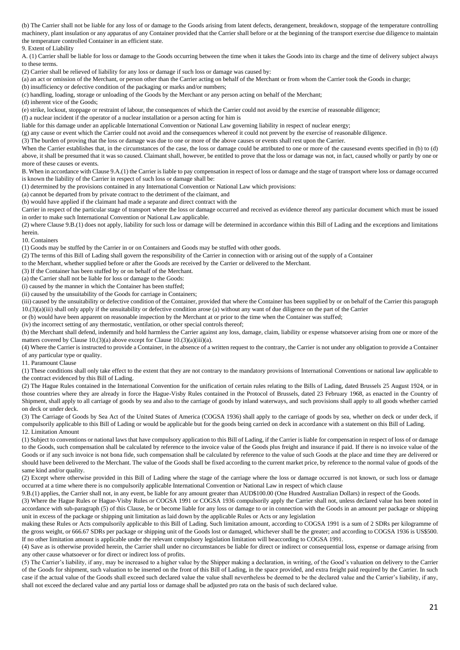(b) The Carrier shall not be liable for any loss of or damage to the Goods arising from latent defects, derangement, breakdown, stoppage of the temperature controlling machinery, plant insulation or any apparatus of any Container provided that the Carrier shall before or at the beginning of the transport exercise due diligence to maintain the temperature controlled Container in an efficient state.

9. Extent of Liability

A. (1) Carrier shall be liable for loss or damage to the Goods occurring between the time when it takes the Goods into its charge and the time of delivery subject always to these terms.

(2) Carrier shall be relieved of liability for any loss or damage if such loss or damage was caused by:

(a) an act or omission of the Merchant, or person other than the Carrier acting on behalf of the Merchant or from whom the Carrier took the Goods in charge;

(b) insufficiency or defective condition of the packaging or marks and/or numbers;

(c) handling, loading, storage or unloading of the Goods by the Merchant or any person acting on behalf of the Merchant;

(d) inherent vice of the Goods;

(e) strike, lockout, stoppage or restraint of labour, the consequences of which the Carrier could not avoid by the exercise of reasonable diligence;

(f) a nuclear incident if the operator of a nuclear installation or a person acting for him is

liable for this damage under an applicable International Convention or National Law governing liability in respect of nuclear energy;

(g) any cause or event which the Carrier could not avoid and the consequences whereof it could not prevent by the exercise of reasonable diligence.

(3) The burden of proving that the loss or damage was due to one or more of the above causes or events shall rest upon the Carrier.

When the Carrier establishes that, in the circumstances of the case, the loss or damage could be attributed to one or more of the causesand events specified in (b) to (d) above, it shall be presumed that it was so caused. Claimant shall, however, be entitled to prove that the loss or damage was not, in fact, caused wholly or partly by one or more of these causes or events.

B. When in accordance with Clause 9.A.(1) the Carrier is liable to pay compensation in respect of loss or damage and the stage of transport where loss or damage occurred is known the liability of the Carrier in respect of such loss or damage shall be:

(1) determined by the provisions contained in any International Convention or National Law which provisions:

(a) cannot be departed from by private contract to the detriment of the claimant, and

(b) would have applied if the claimant had made a separate and direct contract with the

Carrier in respect of the particular stage of transport where the loss or damage occurred and received as evidence thereof any particular document which must be issued in order to make such International Convention or National Law applicable.

(2) where Clause 9.B.(1) does not apply, liability for such loss or damage will be determined in accordance within this Bill of Lading and the exceptions and limitations herein.

10. Containers

(1) Goods may be stuffed by the Carrier in or on Containers and Goods may be stuffed with other goods.

(2) The terms of this Bill of Lading shall govern the responsibility of the Carrier in connection with or arising out of the supply of a Container

to the Merchant, whether supplied before or after the Goods are received by the Carrier or delivered to the Merchant.

(3) If the Container has been stuffed by or on behalf of the Merchant.

(a) the Carrier shall not be liable for loss or damage to the Goods:

(i) caused by the manner in which the Container has been stuffed;

(ii) caused by the unsuitability of the Goods for carriage in Containers;

(iii) caused by the unsuitability or defective condition of the Container, provided that where the Container has been supplied by or on behalf of the Carrier this paragraph 10.(3)(a)(iii) shall only apply if the unsuitability or defective condition arose (a) without any want of due diligence on the part of the Carrier

or (b) would have been apparent on reasonable inspection by the Merchant at or prior to the time when the Container was stuffed;

(iv) the incorrect setting of any thermostatic, ventilation, or other special controls thereof;

(b) the Merchant shall defend, indemnify and hold harmless the Carrier against any loss, damage, claim, liability or expense whatsoever arising from one or more of the matters covered by Clause 10.(3)(a) above except for Clause 10.(3)(a)(iii)(a).

(4) Where the Carrier is instructed to provide a Container, in the absence of a written request to the contrary, the Carrier is not under any obligation to provide a Container of any particular type or quality.

11. Paramount Clause

(1) These conditions shall only take effect to the extent that they are not contrary to the mandatory provisions of International Conventions or national law applicable to the contract evidenced by this Bill of Lading.

(2) The Hague Rules contained in the International Convention for the unification of certain rules relating to the Bills of Lading, dated Brussels 25 August 1924, or in those countries where they are already in force the Hague-Visby Rules contained in the Protocol of Brussels, dated 23 February 1968, as enacted in the Country of Shipment, shall apply to all carriage of goods by sea and also to the carriage of goods by inland waterways, and such provisions shall apply to all goods whether carried on deck or under deck.

(3) The Carriage of Goods by Sea Act of the United States of America (COGSA 1936) shall apply to the carriage of goods by sea, whether on deck or under deck, if compulsorily applicable to this Bill of Lading or would be applicable but for the goods being carried on deck in accordance with a statement on this Bill of Lading. 12. Limitation Amount

(1) Subject to conventions or national laws that have compulsory application to this Bill of Lading, if the Carrier is liable for compensation in respect of loss of or damage to the Goods, such compensation shall be calculated by reference to the invoice value of the Goods plus freight and insurance if paid. If there is no invoice value of the Goods or if any such invoice is not bona fide, such compensation shall be calculated by reference to the value of such Goods at the place and time they are delivered or should have been delivered to the Merchant. The value of the Goods shall be fixed according to the current market price, by reference to the normal value of goods of the same kind and/or quality.

(2) Except where otherwise provided in this Bill of Lading where the stage of the carriage where the loss or damage occurred is not known, or such loss or damage occurred at a time where there is no compulsorily applicable International Convention or National Law in respect of which clause

9.B.(1) applies, the Carrier shall not, in any event, be liable for any amount greater than AUD\$100.00 (One Hundred Australian Dollars) in respect of the Goods.

(3) Where the Hague Rules or Hague-Visby Rules or COGSA 1991 or COGSA 1936 compulsorily apply the Carrier shall not, unless declared value has been noted in accordance with sub-paragraph (5) of this Clause, be or become liable for any loss or damage to or in connection with the Goods in an amount per package or shipping unit in excess of the package or shipping unit limitation as laid down by the applicable Rules or Acts or any legislation

making these Rules or Acts compulsorily applicable to this Bill of Lading. Such limitation amount, according to COGSA 1991 is a sum of 2 SDRs per kilogramme of the gross weight, or 666.67 SDRs per package or shipping unit of the Goods lost or damaged, whichever shall be the greater; and according to COGSA 1936 is US\$500. If no other limitation amount is applicable under the relevant compulsory legislation limitation will beaccording to COGSA 1991.

(4) Save as is otherwise provided herein, the Carrier shall under no circumstances be liable for direct or indirect or consequential loss, expense or damage arising from any other cause whatsoever or for direct or indirect loss of profits.

(5) The Carrier's liability, if any, may be increased to a higher value by the Shipper making a declaration, in writing, of the Good's valuation on delivery to the Carrier of the Goods for shipment, such valuation to be inserted on the front of this Bill of Lading, in the space provided, and extra freight paid required by the Carrier. In such case if the actual value of the Goods shall exceed such declared value the value shall nevertheless be deemed to be the declared value and the Carrier's liability, if any, shall not exceed the declared value and any partial loss or damage shall be adjusted pro rata on the basis of such declared value.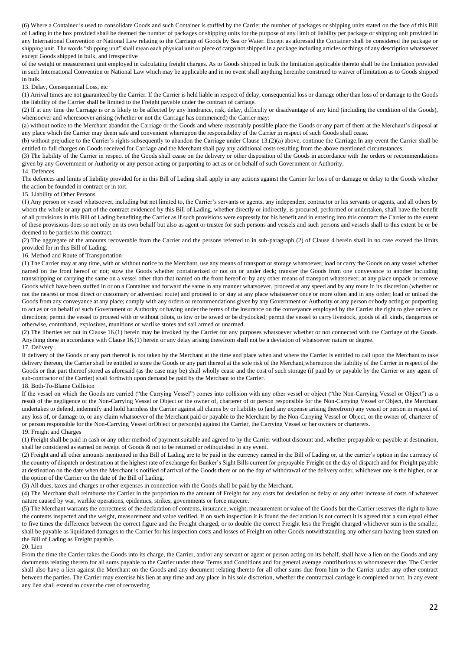(6) Where a Container is used to consolidate Goods and such Container is stuffed by the Carrier the number of packages or shipping units stated on the face of this Bill of Lading in the box provided shall be deemed the number of packages or shipping units for the purpose of any limit of liability per package or shipping unit provided in any International Convention or National Law relating to the Carriage of Goods by Sea or Water. Except as aforesaid the Container shall be considered the package or shipping unit. The words "shipping unit" shall mean each physical unit or piece of cargo not shipped in a package including articles or things of any description whatsoever except Goods shipped in bulk, and irrespective

of the weight or measurement unit employed in calculating freight charges. As to Goods shipped in bulk the limitation applicable thereto shall be the limitation provided in such International Convention or National Law which may be applicable and in no event shall anything hereinbe construed to waiver of limitation as to Goods shipped in bulk.

13. Delay, Consequential Loss, etc

(1) Arrival times are not guaranteed by the Carrier. If the Carrier is held liable in respect of delay, consequential loss or damage other than loss of or damage to the Goods the liability of the Carrier shall be limited to the Freight payable under the contract of carriage.

(2) If at any time the Carriage is or is likely to be affected by any hindrance, risk, delay, difficulty or disadvantage of any kind (including the condition of the Goods), whensoever and wheresoever arising (whether or not the Carriage has commenced) the Carrier may:

(a) without notice to the Merchant abandon the Carriage or the Goods and where reasonably possible place the Goods or any part of them at the Merchant's disposal at any place which the Carrier may deem safe and convenient whereupon the responsibility of the Carrier in respect of such Goods shall cease.

(b) without prejudice to the Carrier's rights subsequently to abandon the Carriage under Clause 13.(2)(a) above, continue the Carriage.In any event the Carrier shall be entitled to full charges on Goods received for Carriage and the Merchant shall pay any additional costs resulting from the above mentioned circumstances.

(3) The liability of the Carrier in respect of the Goods shall cease on the delivery or other disposition of the Goods in accordance with the orders or recommendations given by any Government or Authority or any person acting or purporting to act as or on behalf of such Government or Authority.

14. Defences

The defences and limits of liability provided for in this Bill of Lading shall apply in any actions against the Carrier for loss of or damage or delay to the Goods whether the action be founded in contract or in tort.

15. Liability of Other Persons

(1) Any person or vessel whatsoever, including but not limited to, the Carrier's servants or agents, any independent contractor or his servants or agents, and all others by whom the whole or any part of the contract evidenced by this Bill of Lading, whether directly or indirectly, is procured, performed or undertaken, shall have the benefit of all provisions in this Bill of Lading benefiting the Carrier as if such provisions were expressly for his benefit and in entering into this contract the Carrier to the extent of these provisions does so not only on its own behalf but also as agent or trustee for such persons and vessels and such persons and vessels shall to this extent be or be deemed to be parties to this contract.

(2) The aggregate of the amounts recoverable from the Carrier and the persons referred to in sub-paragraph (2) of Clause 4 herein shall in no case exceed the limits provided for in this Bill of Lading.

16. Method and Route of Transportation

(1) The Carrier may at any time, with or without notice to the Merchant, use any means of transport or storage whatsoever; load or carry the Goods on any vessel whether named on the front hereof or not; stow the Goods whether containerized or not on or under deck; transfer the Goods from one conveyance to another including transshipping or carrying the same on a vessel other than that named on the front hereof or by any other means of transport whatsoever; at any place unpack or remove Goods which have been stuffed in or on a Container and forward the same in any manner whatsoever, proceed at any speed and by any route in its discretion (whether or not the nearest or most direct or customary or advertised route) and proceed to or stay at any place whatsoever once or more often and in any order; load or unload the Goods from any conveyance at any place; comply with any orders or recommendations given by any Government or Authority or any person or body acting or purporting to act as or on behalf of such Government or Authority or having under the terms of the insurance on the conveyance employed by the Carrier the right to give orders or directions; permit the vessel to proceed with or without pilots, to tow or be towed or be drydocked; permit the vessel to carry livestock, goods of all kinds, dangerous or otherwise, contraband, explosives, munitions or warlike stores and sail armed or unarmed.

(2) The liberties set out in Clause 16.(1) herein may be invoked by the Carrier for any purposes whatsoever whether or not connected with the Carriage of the Goods. Anything done in accordance with Clause 16.(1) herein or any delay arising therefrom shall not be a deviation of whatsoever nature or degree. 17. Delivery

If delivery of the Goods or any part thereof is not taken by the Merchant at the time and place when and where the Carrier is entitled to call upon the Merchant to take delivery thereon, the Carrier shall be entitled to store the Goods or any part thereof at the sole risk of the Merchant, whereupon the liability of the Carrier in respect of the Goods or that part thereof stored as aforesaid (as the case may be) shall wholly cease and the cost of such storage (if paid by or payable by the Carrier or any agent of sub-contractor of the Carrier) shall forthwith upon demand be paid by the Merchant to the Carrier. 18. Both-To-Blame Collision

If the vessel on which the Goods are carried ("the Carrying Vessel") comes into collision with any other vessel or object ("the Non-Carrying Vessel or Object") as a result of the negligence of the Non-Carrying Vessel or Object or the owner of, charterer of or person responsible for the Non-Carrying Vessel or Object, the Merchant undertakes to defend, indemnify and hold harmless the Carrier against all claims by or liability to (and any expense arising therefrom) any vessel or person in respect of any loss of, or damage to, or any claim whatsoever of the Merchant paid or payable to the Merchant by the Non-Carrying Vessel or Object, or the owner of, charterer of or person responsible for the Non-Carrying Vessel orObject or person(s) against the Carrier, the Carrying Vessel or her owners or charterers.

19. Freight and Charges

(1) Freight shall be paid in cash or any other method of payment suitable and agreed to by the Carrier without discount and, whether prepayable or payable at destination, shall be considered as earned on receipt of Goods & not to be returned or relinquished in any event.

(2) Freight and all other amounts mentioned in this Bill of Lading are to be paid in the currency named in the Bill of Lading or, at the carrier's option in the currency of the country of dispatch or destination at the highest rate of exchange for Banker's Sight Bills current for prepayable Freight on the day of dispatch and for Freight payable at destination on the date when the Merchant is notified of arrival of the Goods there or on the day of withdrawal of the delivery order, whichever rate is the higher, or at the option of the Carrier on the date of the Bill of Lading.

(3) All dues, taxes and charges or other expenses in connection with the Goods shall be paid by the Merchant.

(4) The Merchant shall reimburse the Carrier in the proportion to the amount of Freight for any costs for deviation or delay or any other increase of costs of whatever nature caused by war, warlike operations, epidemics, strikes, governments or force majeure.

(5) The Merchant warrants the correctness of the declaration of contents, insurance, weight, measurement or value of the Goods but the Carrier reserves the right to have the contents inspected and the weight, measurement and value verified. If on such inspection it is found the declaration is not correct it is agreed that a sum equal either to five times the difference between the correct figure and the Freight charged, or to double the correct Freight less the Freight charged whichever sum is the smaller, shall be payable as liquidated damages to the Carrier for his inspection costs and losses of Freight on other Goods notwithstanding any other sum having been stated on the Bill of Lading as Freight payable.

20. Lien

From the time the Carrier takes the Goods into its charge, the Carrier, and/or any servant or agent or person acting on its behalf, shall have a lien on the Goods and any documents relating thereto for all sums payable to the Carrier under these Terms and Conditions and for general average contributions to whomsoever due. The Carrier shall also have a lien against the Merchant on the Goods and any document relating thereto for all other sums due from him to the Carrier under any other contract between the parties. The Carrier may exercise his lien at any time and any place in his sole discretion, whether the contractual carriage is completed or not. In any event any lien shall extend to cover the cost of recovering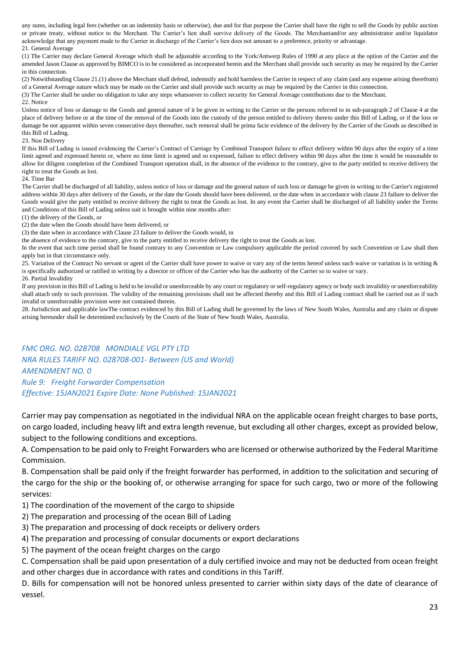any sums, including legal fees (whether on an indemnity basis or otherwise), due and for that purpose the Carrier shall have the right to sell the Goods by public auction or private treaty, without notice to the Merchant. The Carrier's lien shall survive delivery of the Goods. The Merchantand/or any administrator and/or liquidator acknowledge that any payment made to the Carrier in discharge of the Carrier's lien does not amount to a preference, priority or advantage. 21. General Average

(1) The Carrier may declare General Average which shall be adjustable according to the York/Antwerp Rules of 1990 at any place at the option of the Carrier and the amended Jason Clause as approved by BIMCO is to be considered as incorporated herein and the Merchant shall provide such security as may be required by the Carrier in this connection.

(2) Notwithstanding Clause 21.(1) above the Merchant shall defend, indemnify and hold harmless the Carrier in respect of any claim (and any expense arising therefrom) of a General Average nature which may be made on the Carrier and shall provide such security as may be required by the Carrier in this connection.

(3) The Carrier shall be under no obligation to take any steps whatsoever to collect security for General Average contributions due to the Merchant.

22. Notice

Unless notice of loss or damage to the Goods and general nature of it be given in writing to the Carrier or the persons referred to in sub-paragraph 2 of Clause 4 at the place of delivery before or at the time of the removal of the Goods into the custody of the person entitled to delivery thereto under this Bill of Lading, or if the loss or damage be not apparent within seven consecutive days thereafter, such removal shall be prima facie evidence of the delivery by the Carrier of the Goods as described in this Bill of Lading.

#### 23. Non Delivery

If this Bill of Lading is issued evidencing the Carrier's Contract of Carriage by Combined Transport failure to effect delivery within 90 days after the expiry of a time limit agreed and expressed herein or, where no time limit is agreed and so expressed, failure to effect delivery within 90 days after the time it would be reasonable to allow for diligent completion of the Combined Transport operation shall, in the absence of the evidence to the contrary, give to the party entitled to receive delivery the right to treat the Goods as lost.

24. Time Bar

The Carrier shall be discharged of all liability, unless notice of loss or damage and the general nature of such loss or damage be given in writing to the Carrier's registered address within 30 days after delivery of the Goods, or the date the Goods should have been delivered, or the date when in accordance with clause 23 failure to deliver the Goods would give the party entitled to receive delivery the right to treat the Goods as lost. In any event the Carrier shall be discharged of all liability under the Terms and Conditions of this Bill of Lading unless suit is brought within nine months after:

(1) the delivery of the Goods, or

(2) the date when the Goods should have been delivered, or

(3) the date when in accordance with Clause 23 failure to deliver the Goods would, in

the absence of evidence to the contrary, give to the party entitled to receive delivery the right to treat the Goods as lost.

In the event that such time period shall be found contrary to any Convention or Law compulsory applicable the period covered by such Convention or Law shall then apply but in that circumstance only.

25. Variation of the Contract No servant or agent of the Carrier shall have power to waive or vary any of the terms hereof unless such waive or variation is in writing & is specifically authorized or ratified in writing by a director or officer of the Carrier who has the authority of the Carrier so to waive or vary.

26. Partial Invalidity

If any provision in this Bill of Lading is held to be invalid or unenforceable by any court or regulatory or self-regulatory agency or body such invalidity or unenforceability shall attach only to such provision. The validity of the remaining provisions shall not be affected thereby and this Bill of Lading contract shall be carried out as if such invalid or unenforceable provision were not contained therein.

28. Jurisdiction and applicable lawThe contract evidenced by this Bill of Lading shall be governed by the laws of New South Wales, Australia and any claim or dispute arising hereunder shall be determined exclusively by the Courts of the State of New South Wales, Australia.

*FMC ORG. NO. 028708 MONDIALE VGL PTY LTD NRA RULES TARIFF NO. 028708-001- Between (US and World) AMENDMENT NO. 0 Rule 9: Freight Forwarder Compensation Effective: 15JAN2021 Expire Date: None Published: 15JAN2021*

Carrier may pay compensation as negotiated in the individual NRA on the applicable ocean freight charges to base ports, on cargo loaded, including heavy lift and extra length revenue, but excluding all other charges, except as provided below, subject to the following conditions and exceptions.

A. Compensation to be paid only to Freight Forwarders who are licensed or otherwise authorized by the Federal Maritime Commission.

B. Compensation shall be paid only if the freight forwarder has performed, in addition to the solicitation and securing of the cargo for the ship or the booking of, or otherwise arranging for space for such cargo, two or more of the following services:

- 1) The coordination of the movement of the cargo to shipside
- 2) The preparation and processing of the ocean Bill of Lading
- 3) The preparation and processing of dock receipts or delivery orders
- 4) The preparation and processing of consular documents or export declarations
- 5) The payment of the ocean freight charges on the cargo

C. Compensation shall be paid upon presentation of a duly certified invoice and may not be deducted from ocean freight and other charges due in accordance with rates and conditions in this Tariff.

D. Bills for compensation will not be honored unless presented to carrier within sixty days of the date of clearance of vessel.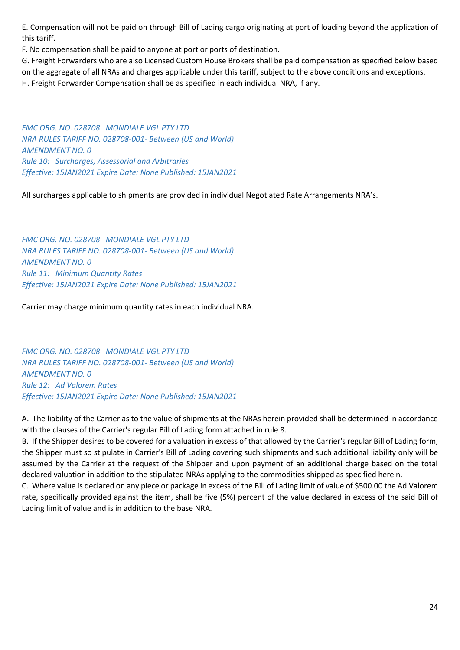E. Compensation will not be paid on through Bill of Lading cargo originating at port of loading beyond the application of this tariff.

F. No compensation shall be paid to anyone at port or ports of destination.

G. Freight Forwarders who are also Licensed Custom House Brokers shall be paid compensation as specified below based on the aggregate of all NRAs and charges applicable under this tariff, subject to the above conditions and exceptions. H. Freight Forwarder Compensation shall be as specified in each individual NRA, if any.

*FMC ORG. NO. 028708 MONDIALE VGL PTY LTD NRA RULES TARIFF NO. 028708-001- Between (US and World) AMENDMENT NO. 0 Rule 10: Surcharges, Assessorial and Arbitraries Effective: 15JAN2021 Expire Date: None Published: 15JAN2021*

All surcharges applicable to shipments are provided in individual Negotiated Rate Arrangements NRA's.

*FMC ORG. NO. 028708 MONDIALE VGL PTY LTD NRA RULES TARIFF NO. 028708-001- Between (US and World) AMENDMENT NO. 0 Rule 11: Minimum Quantity Rates Effective: 15JAN2021 Expire Date: None Published: 15JAN2021*

Carrier may charge minimum quantity rates in each individual NRA.

*FMC ORG. NO. 028708 MONDIALE VGL PTY LTD NRA RULES TARIFF NO. 028708-001- Between (US and World) AMENDMENT NO. 0 Rule 12: Ad Valorem Rates Effective: 15JAN2021 Expire Date: None Published: 15JAN2021* 

A. The liability of the Carrier as to the value of shipments at the NRAs herein provided shall be determined in accordance with the clauses of the Carrier's regular Bill of Lading form attached in rule 8.

B. If the Shipper desires to be covered for a valuation in excess of that allowed by the Carrier's regular Bill of Lading form, the Shipper must so stipulate in Carrier's Bill of Lading covering such shipments and such additional liability only will be assumed by the Carrier at the request of the Shipper and upon payment of an additional charge based on the total declared valuation in addition to the stipulated NRAs applying to the commodities shipped as specified herein.

C. Where value is declared on any piece or package in excess of the Bill of Lading limit of value of \$500.00 the Ad Valorem rate, specifically provided against the item, shall be five (5%) percent of the value declared in excess of the said Bill of Lading limit of value and is in addition to the base NRA.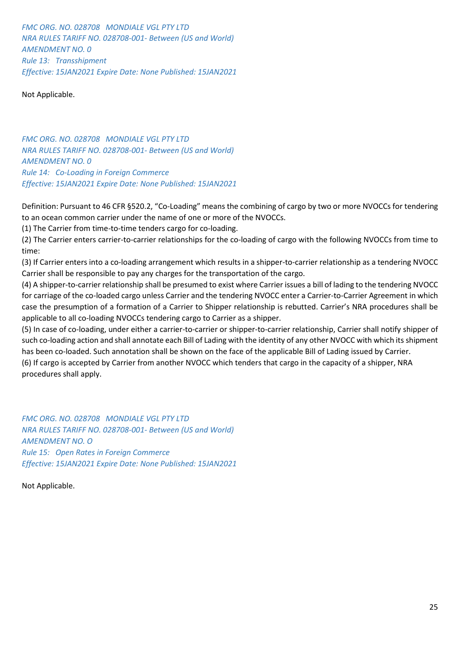*FMC ORG. NO. 028708 MONDIALE VGL PTY LTD NRA RULES TARIFF NO. 028708-001- Between (US and World) AMENDMENT NO. 0 Rule 13: Transshipment Effective: 15JAN2021 Expire Date: None Published: 15JAN2021*

Not Applicable.

*FMC ORG. NO. 028708 MONDIALE VGL PTY LTD NRA RULES TARIFF NO. 028708-001- Between (US and World) AMENDMENT NO. 0 Rule 14: Co-Loading in Foreign Commerce Effective: 15JAN2021 Expire Date: None Published: 15JAN2021*

Definition: Pursuant to 46 CFR §520.2, "Co-Loading" means the combining of cargo by two or more NVOCCs for tendering to an ocean common carrier under the name of one or more of the NVOCCs.

(1) The Carrier from time-to-time tenders cargo for co-loading.

(2) The Carrier enters carrier-to-carrier relationships for the co-loading of cargo with the following NVOCCs from time to time:

(3) If Carrier enters into a co-loading arrangement which results in a shipper-to-carrier relationship as a tendering NVOCC Carrier shall be responsible to pay any charges for the transportation of the cargo.

(4) A shipper-to-carrier relationship shall be presumed to exist where Carrier issues a bill of lading to the tendering NVOCC for carriage of the co-loaded cargo unless Carrier and the tendering NVOCC enter a Carrier-to-Carrier Agreement in which case the presumption of a formation of a Carrier to Shipper relationship is rebutted. Carrier's NRA procedures shall be applicable to all co-loading NVOCCs tendering cargo to Carrier as a shipper.

(5) In case of co-loading, under either a carrier-to-carrier or shipper-to-carrier relationship, Carrier shall notify shipper of such co-loading action and shall annotate each Bill of Lading with the identity of any other NVOCC with which its shipment has been co-loaded. Such annotation shall be shown on the face of the applicable Bill of Lading issued by Carrier.

(6) If cargo is accepted by Carrier from another NVOCC which tenders that cargo in the capacity of a shipper, NRA procedures shall apply.

*FMC ORG. NO. 028708 MONDIALE VGL PTY LTD NRA RULES TARIFF NO. 028708-001- Between (US and World) AMENDMENT NO. O Rule 15: Open Rates in Foreign Commerce Effective: 15JAN2021 Expire Date: None Published: 15JAN2021*

Not Applicable.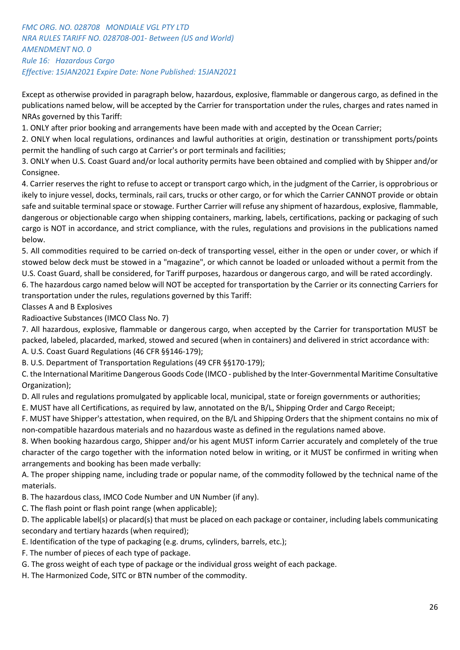# *FMC ORG. NO. 028708 MONDIALE VGL PTY LTD NRA RULES TARIFF NO. 028708-001- Between (US and World) AMENDMENT NO. 0 Rule 16: Hazardous Cargo Effective: 15JAN2021 Expire Date: None Published: 15JAN2021*

Except as otherwise provided in paragraph below, hazardous, explosive, flammable or dangerous cargo, as defined in the publications named below, will be accepted by the Carrier for transportation under the rules, charges and rates named in NRAs governed by this Tariff:

1. ONLY after prior booking and arrangements have been made with and accepted by the Ocean Carrier;

2. ONLY when local regulations, ordinances and lawful authorities at origin, destination or transshipment ports/points permit the handling of such cargo at Carrier's or port terminals and facilities;

3. ONLY when U.S. Coast Guard and/or local authority permits have been obtained and complied with by Shipper and/or Consignee.

4. Carrier reserves the right to refuse to accept or transport cargo which, in the judgment of the Carrier, is opprobrious or ikely to injure vessel, docks, terminals, rail cars, trucks or other cargo, or for which the Carrier CANNOT provide or obtain safe and suitable terminal space or stowage. Further Carrier will refuse any shipment of hazardous, explosive, flammable, dangerous or objectionable cargo when shipping containers, marking, labels, certifications, packing or packaging of such cargo is NOT in accordance, and strict compliance, with the rules, regulations and provisions in the publications named below.

5. All commodities required to be carried on-deck of transporting vessel, either in the open or under cover, or which if stowed below deck must be stowed in a "magazine", or which cannot be loaded or unloaded without a permit from the U.S. Coast Guard, shall be considered, for Tariff purposes, hazardous or dangerous cargo, and will be rated accordingly.

6. The hazardous cargo named below will NOT be accepted for transportation by the Carrier or its connecting Carriers for transportation under the rules, regulations governed by this Tariff:

Classes A and B Explosives

Radioactive Substances (IMCO Class No. 7)

7. All hazardous, explosive, flammable or dangerous cargo, when accepted by the Carrier for transportation MUST be packed, labeled, placarded, marked, stowed and secured (when in containers) and delivered in strict accordance with: A. U.S. Coast Guard Regulations (46 CFR §§146-179);

B. U.S. Department of Transportation Regulations (49 CFR §§170-179);

C. the International Maritime Dangerous Goods Code (IMCO - published by the Inter-Governmental Maritime Consultative Organization);

D. All rules and regulations promulgated by applicable local, municipal, state or foreign governments or authorities;

E. MUST have all Certifications, as required by law, annotated on the B/L, Shipping Order and Cargo Receipt;

F. MUST have Shipper's attestation, when required, on the B/L and Shipping Orders that the shipment contains no mix of non-compatible hazardous materials and no hazardous waste as defined in the regulations named above.

8. When booking hazardous cargo, Shipper and/or his agent MUST inform Carrier accurately and completely of the true character of the cargo together with the information noted below in writing, or it MUST be confirmed in writing when arrangements and booking has been made verbally:

A. The proper shipping name, including trade or popular name, of the commodity followed by the technical name of the materials.

B. The hazardous class, IMCO Code Number and UN Number (if any).

C. The flash point or flash point range (when applicable);

D. The applicable label(s) or placard(s) that must be placed on each package or container, including labels communicating secondary and tertiary hazards (when required);

- E. Identification of the type of packaging (e.g. drums, cylinders, barrels, etc.);
- F. The number of pieces of each type of package.

G. The gross weight of each type of package or the individual gross weight of each package.

H. The Harmonized Code, SITC or BTN number of the commodity.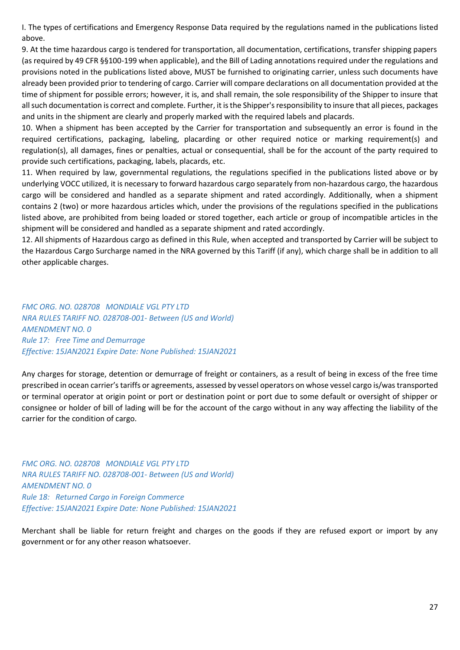I. The types of certifications and Emergency Response Data required by the regulations named in the publications listed above.

9. At the time hazardous cargo is tendered for transportation, all documentation, certifications, transfer shipping papers (as required by 49 CFR §§100-199 when applicable), and the Bill of Lading annotations required under the regulations and provisions noted in the publications listed above, MUST be furnished to originating carrier, unless such documents have already been provided prior to tendering of cargo. Carrier will compare declarations on all documentation provided at the time of shipment for possible errors; however, it is, and shall remain, the sole responsibility of the Shipper to insure that all such documentation is correct and complete. Further, it is the Shipper's responsibility to insure that all pieces, packages and units in the shipment are clearly and properly marked with the required labels and placards.

10. When a shipment has been accepted by the Carrier for transportation and subsequently an error is found in the required certifications, packaging, labeling, placarding or other required notice or marking requirement(s) and regulation(s), all damages, fines or penalties, actual or consequential, shall be for the account of the party required to provide such certifications, packaging, labels, placards, etc.

11. When required by law, governmental regulations, the regulations specified in the publications listed above or by underlying VOCC utilized, it is necessary to forward hazardous cargo separately from non-hazardous cargo, the hazardous cargo will be considered and handled as a separate shipment and rated accordingly. Additionally, when a shipment contains 2 (two) or more hazardous articles which, under the provisions of the regulations specified in the publications listed above, are prohibited from being loaded or stored together, each article or group of incompatible articles in the shipment will be considered and handled as a separate shipment and rated accordingly.

12. All shipments of Hazardous cargo as defined in this Rule, when accepted and transported by Carrier will be subject to the Hazardous Cargo Surcharge named in the NRA governed by this Tariff (if any), which charge shall be in addition to all other applicable charges.

*FMC ORG. NO. 028708 MONDIALE VGL PTY LTD NRA RULES TARIFF NO. 028708-001- Between (US and World) AMENDMENT NO. 0 Rule 17: Free Time and Demurrage Effective: 15JAN2021 Expire Date: None Published: 15JAN2021* 

Any charges for storage, detention or demurrage of freight or containers, as a result of being in excess of the free time prescribed in ocean carrier's tariffs or agreements, assessed by vessel operators on whose vessel cargo is/was transported or terminal operator at origin point or port or destination point or port due to some default or oversight of shipper or consignee or holder of bill of lading will be for the account of the cargo without in any way affecting the liability of the carrier for the condition of cargo.

*FMC ORG. NO. 028708 MONDIALE VGL PTY LTD NRA RULES TARIFF NO. 028708-001- Between (US and World) AMENDMENT NO. 0 Rule 18: Returned Cargo in Foreign Commerce Effective: 15JAN2021 Expire Date: None Published: 15JAN2021*

Merchant shall be liable for return freight and charges on the goods if they are refused export or import by any government or for any other reason whatsoever.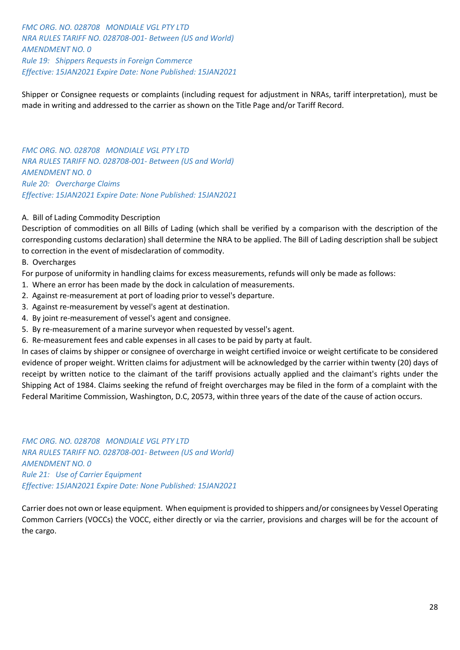*FMC ORG. NO. 028708 MONDIALE VGL PTY LTD NRA RULES TARIFF NO. 028708-001- Between (US and World) AMENDMENT NO. 0 Rule 19: Shippers Requests in Foreign Commerce Effective: 15JAN2021 Expire Date: None Published: 15JAN2021*

Shipper or Consignee requests or complaints (including request for adjustment in NRAs, tariff interpretation), must be made in writing and addressed to the carrier as shown on the Title Page and/or Tariff Record.

*FMC ORG. NO. 028708 MONDIALE VGL PTY LTD NRA RULES TARIFF NO. 028708-001- Between (US and World) AMENDMENT NO. 0 Rule 20: Overcharge Claims Effective: 15JAN2021 Expire Date: None Published: 15JAN2021*

## A. Bill of Lading Commodity Description

Description of commodities on all Bills of Lading (which shall be verified by a comparison with the description of the corresponding customs declaration) shall determine the NRA to be applied. The Bill of Lading description shall be subject to correction in the event of misdeclaration of commodity.

B. Overcharges

For purpose of uniformity in handling claims for excess measurements, refunds will only be made as follows:

- 1. Where an error has been made by the dock in calculation of measurements.
- 2. Against re-measurement at port of loading prior to vessel's departure.
- 3. Against re-measurement by vessel's agent at destination.
- 4. By joint re-measurement of vessel's agent and consignee.
- 5. By re-measurement of a marine surveyor when requested by vessel's agent.
- 6. Re-measurement fees and cable expenses in all cases to be paid by party at fault.

In cases of claims by shipper or consignee of overcharge in weight certified invoice or weight certificate to be considered evidence of proper weight. Written claims for adjustment will be acknowledged by the carrier within twenty (20) days of receipt by written notice to the claimant of the tariff provisions actually applied and the claimant's rights under the Shipping Act of 1984. Claims seeking the refund of freight overcharges may be filed in the form of a complaint with the Federal Maritime Commission, Washington, D.C, 20573, within three years of the date of the cause of action occurs.

*FMC ORG. NO. 028708 MONDIALE VGL PTY LTD NRA RULES TARIFF NO. 028708-001- Between (US and World) AMENDMENT NO. 0 Rule 21: Use of Carrier Equipment Effective: 15JAN2021 Expire Date: None Published: 15JAN2021*

Carrier does not own or lease equipment. When equipment is provided to shippers and/or consignees by Vessel Operating Common Carriers (VOCCs) the VOCC, either directly or via the carrier, provisions and charges will be for the account of the cargo.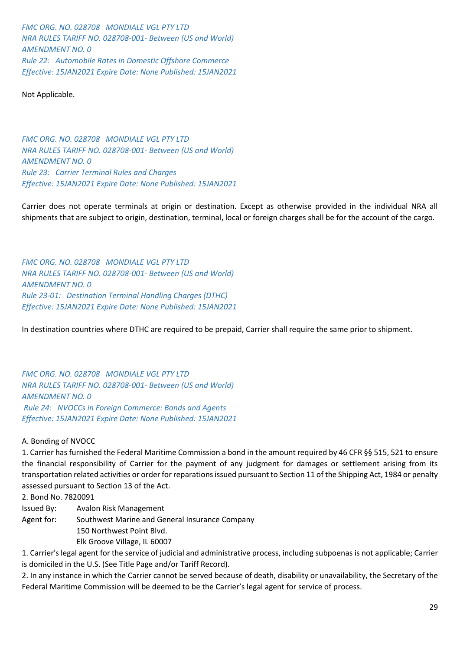*FMC ORG. NO. 028708 MONDIALE VGL PTY LTD NRA RULES TARIFF NO. 028708-001- Between (US and World) AMENDMENT NO. 0 Rule 22: Automobile Rates in Domestic Offshore Commerce Effective: 15JAN2021 Expire Date: None Published: 15JAN2021*

Not Applicable.

*FMC ORG. NO. 028708 MONDIALE VGL PTY LTD NRA RULES TARIFF NO. 028708-001- Between (US and World) AMENDMENT NO. 0 Rule 23: Carrier Terminal Rules and Charges Effective: 15JAN2021 Expire Date: None Published: 15JAN2021*

Carrier does not operate terminals at origin or destination. Except as otherwise provided in the individual NRA all shipments that are subject to origin, destination, terminal, local or foreign charges shall be for the account of the cargo.

*FMC ORG. NO. 028708 MONDIALE VGL PTY LTD NRA RULES TARIFF NO. 028708-001- Between (US and World) AMENDMENT NO. 0 Rule 23-01: Destination Terminal Handling Charges (DTHC) Effective: 15JAN2021 Expire Date: None Published: 15JAN2021*

In destination countries where DTHC are required to be prepaid, Carrier shall require the same prior to shipment.

*FMC ORG. NO. 028708 MONDIALE VGL PTY LTD NRA RULES TARIFF NO. 028708-001- Between (US and World) AMENDMENT NO. 0 Rule 24: NVOCCs in Foreign Commerce: Bonds and Agents Effective: 15JAN2021 Expire Date: None Published: 15JAN2021*

A. Bonding of NVOCC

1. Carrier has furnished the Federal Maritime Commission a bond in the amount required by 46 CFR §§ 515, 521 to ensure the financial responsibility of Carrier for the payment of any judgment for damages or settlement arising from its transportation related activities or order for reparations issued pursuant to Section 11 of the Shipping Act, 1984 or penalty assessed pursuant to Section 13 of the Act.

2. Bond No. 7820091

Issued By: Avalon Risk Management

Agent for: Southwest Marine and General Insurance Company

150 Northwest Point Blvd.

Elk Groove Village, IL 60007

1. Carrier's legal agent for the service of judicial and administrative process, including subpoenas is not applicable; Carrier is domiciled in the U.S. (See Title Page and/or Tariff Record).

2. In any instance in which the Carrier cannot be served because of death, disability or unavailability, the Secretary of the Federal Maritime Commission will be deemed to be the Carrier's legal agent for service of process.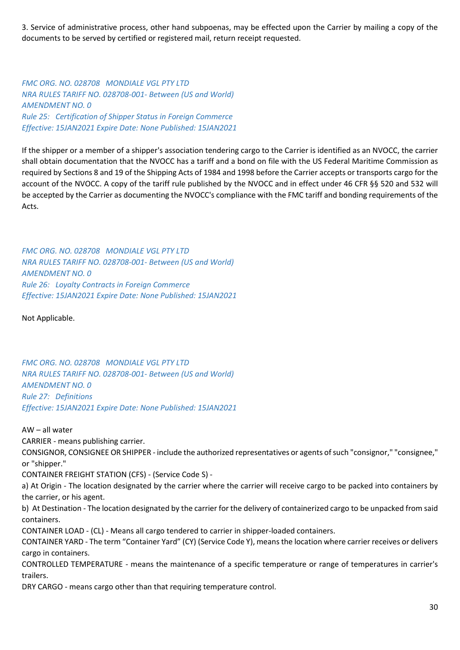3. Service of administrative process, other hand subpoenas, may be effected upon the Carrier by mailing a copy of the documents to be served by certified or registered mail, return receipt requested.

*FMC ORG. NO. 028708 MONDIALE VGL PTY LTD NRA RULES TARIFF NO. 028708-001- Between (US and World) AMENDMENT NO. 0 Rule 25: Certification of Shipper Status in Foreign Commerce Effective: 15JAN2021 Expire Date: None Published: 15JAN2021*

If the shipper or a member of a shipper's association tendering cargo to the Carrier is identified as an NVOCC, the carrier shall obtain documentation that the NVOCC has a tariff and a bond on file with the US Federal Maritime Commission as required by Sections 8 and 19 of the Shipping Acts of 1984 and 1998 before the Carrier accepts or transports cargo for the account of the NVOCC. A copy of the tariff rule published by the NVOCC and in effect under 46 CFR §§ 520 and 532 will be accepted by the Carrier as documenting the NVOCC's compliance with the FMC tariff and bonding requirements of the Acts.

*FMC ORG. NO. 028708 MONDIALE VGL PTY LTD NRA RULES TARIFF NO. 028708-001- Between (US and World) AMENDMENT NO. 0 Rule 26: Loyalty Contracts in Foreign Commerce Effective: 15JAN2021 Expire Date: None Published: 15JAN2021*

Not Applicable.

*FMC ORG. NO. 028708 MONDIALE VGL PTY LTD NRA RULES TARIFF NO. 028708-001- Between (US and World) AMENDMENT NO. 0 Rule 27: Definitions Effective: 15JAN2021 Expire Date: None Published: 15JAN2021* 

## AW – all water

CARRIER - means publishing carrier.

CONSIGNOR, CONSIGNEE OR SHIPPER - include the authorized representatives or agents of such "consignor," "consignee," or "shipper."

CONTAINER FREIGHT STATION (CFS) - (Service Code S) -

a) At Origin - The location designated by the carrier where the carrier will receive cargo to be packed into containers by the carrier, or his agent.

b) At Destination - The location designated by the carrier for the delivery of containerized cargo to be unpacked from said containers.

CONTAINER LOAD - (CL) - Means all cargo tendered to carrier in shipper-loaded containers.

CONTAINER YARD - The term "Container Yard" (CY) (Service Code Y), means the location where carrier receives or delivers cargo in containers.

CONTROLLED TEMPERATURE - means the maintenance of a specific temperature or range of temperatures in carrier's trailers.

DRY CARGO - means cargo other than that requiring temperature control.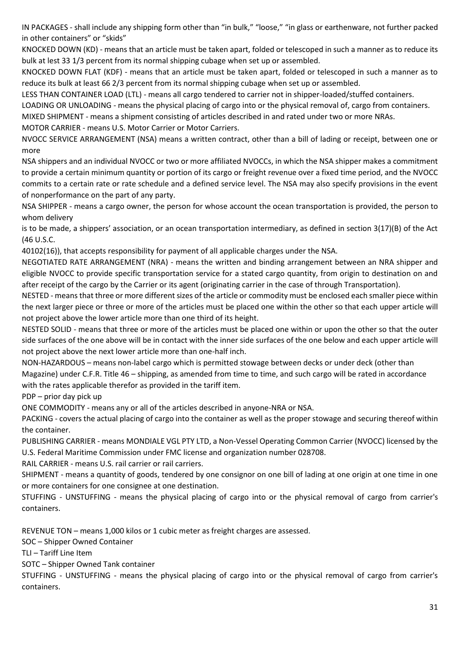IN PACKAGES - shall include any shipping form other than "in bulk," "loose," "in glass or earthenware, not further packed in other containers" or "skids"

KNOCKED DOWN (KD) - means that an article must be taken apart, folded or telescoped in such a manner as to reduce its bulk at lest 33 1/3 percent from its normal shipping cubage when set up or assembled.

KNOCKED DOWN FLAT (KDF) - means that an article must be taken apart, folded or telescoped in such a manner as to reduce its bulk at least 66 2/3 percent from its normal shipping cubage when set up or assembled.

LESS THAN CONTAINER LOAD (LTL) - means all cargo tendered to carrier not in shipper-loaded/stuffed containers.

LOADING OR UNLOADING - means the physical placing of cargo into or the physical removal of, cargo from containers.

MIXED SHIPMENT - means a shipment consisting of articles described in and rated under two or more NRAs.

MOTOR CARRIER - means U.S. Motor Carrier or Motor Carriers.

NVOCC SERVICE ARRANGEMENT (NSA) means a written contract, other than a bill of lading or receipt, between one or more

NSA shippers and an individual NVOCC or two or more affiliated NVOCCs, in which the NSA shipper makes a commitment to provide a certain minimum quantity or portion of its cargo or freight revenue over a fixed time period, and the NVOCC commits to a certain rate or rate schedule and a defined service level. The NSA may also specify provisions in the event of nonperformance on the part of any party.

NSA SHIPPER - means a cargo owner, the person for whose account the ocean transportation is provided, the person to whom delivery

is to be made, a shippers' association, or an ocean transportation intermediary, as defined in section 3(17)(B) of the Act (46 U.S.C.

40102(16)), that accepts responsibility for payment of all applicable charges under the NSA.

NEGOTIATED RATE ARRANGEMENT (NRA) - means the written and binding arrangement between an NRA shipper and eligible NVOCC to provide specific transportation service for a stated cargo quantity, from origin to destination on and after receipt of the cargo by the Carrier or its agent (originating carrier in the case of through Transportation).

NESTED - means that three or more different sizes of the article or commodity must be enclosed each smaller piece within the next larger piece or three or more of the articles must be placed one within the other so that each upper article will not project above the lower article more than one third of its height.

NESTED SOLID - means that three or more of the articles must be placed one within or upon the other so that the outer side surfaces of the one above will be in contact with the inner side surfaces of the one below and each upper article will not project above the next lower article more than one-half inch.

NON-HAZARDOUS – means non-label cargo which is permitted stowage between decks or under deck (other than Magazine) under C.F.R. Title 46 – shipping, as amended from time to time, and such cargo will be rated in accordance with the rates applicable therefor as provided in the tariff item.

PDP – prior day pick up

ONE COMMODITY - means any or all of the articles described in anyone-NRA or NSA.

PACKING - covers the actual placing of cargo into the container as well as the proper stowage and securing thereof within the container.

PUBLISHING CARRIER - means MONDIALE VGL PTY LTD, a Non-Vessel Operating Common Carrier (NVOCC) licensed by the U.S. Federal Maritime Commission under FMC license and organization number 028708.

RAIL CARRIER - means U.S. rail carrier or rail carriers.

SHIPMENT - means a quantity of goods, tendered by one consignor on one bill of lading at one origin at one time in one or more containers for one consignee at one destination.

STUFFING - UNSTUFFING - means the physical placing of cargo into or the physical removal of cargo from carrier's containers.

REVENUE TON – means 1,000 kilos or 1 cubic meter as freight charges are assessed.

SOC – Shipper Owned Container

TLI – Tariff Line Item

SOTC – Shipper Owned Tank container

STUFFING - UNSTUFFING - means the physical placing of cargo into or the physical removal of cargo from carrier's containers.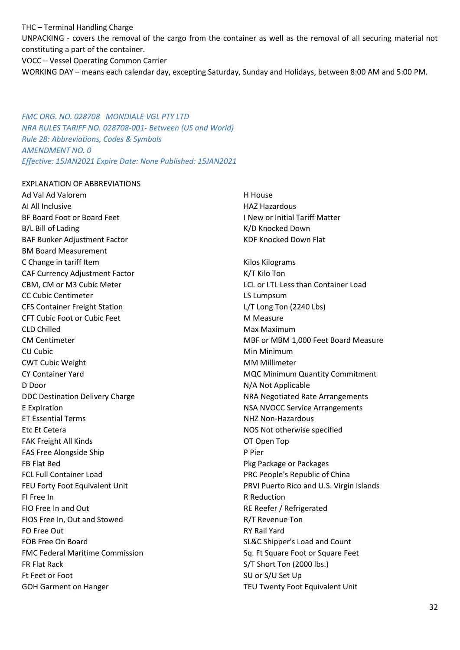THC – Terminal Handling Charge UNPACKING - covers the removal of the cargo from the container as well as the removal of all securing material not constituting a part of the container. VOCC – Vessel Operating Common Carrier WORKING DAY – means each calendar day, excepting Saturday, Sunday and Holidays, between 8:00 AM and 5:00 PM.

*FMC ORG. NO. 028708 MONDIALE VGL PTY LTD NRA RULES TARIFF NO. 028708-001- Between (US and World) Rule 28: Abbreviations, Codes & Symbols AMENDMENT NO. 0 Effective: 15JAN2021 Expire Date: None Published: 15JAN2021*

#### EXPLANATION OF ABBREVIATIONS

Ad Val Ad Valorem AI All Inclusive BF Board Foot or Board Feet B/L Bill of Lading BAF Bunker Adjustment Factor BM Board Measurement C Change in tariff Item CAF Currency Adjustment Factor CBM, CM or M3 Cubic Meter CC Cubic Centimeter CFS Container Freight Station CFT Cubic Foot or Cubic Feet CLD Chilled CM Centimeter CU Cubic CWT Cubic Weight CY Container Yard D Door DDC Destination Delivery Charge E Expiration ET Essential Terms Etc Et Cetera FAK Freight All Kinds FAS Free Alongside Ship FB Flat Bed FCL Full Container Load FEU Forty Foot Equivalent Unit FI Free In FIO Free In and Out FIOS Free In, Out and Stowed FO Free Out FOB Free On Board FMC Federal Maritime Commission FR Flat Rack Ft Feet or Foot GOH Garment on Hanger

H House HAZ Hazardous I New or Initial Tariff Matter K/D Knocked Down KDF Knocked Down Flat Kilos Kilograms K/T Kilo Ton LCL or LTL Less than Container Load LS Lumpsum L/T Long Ton (2240 Lbs) M Measure Max Maximum MBF or MBM 1,000 Feet Board Measure Min Minimum MM Millimeter MQC Minimum Quantity Commitment N/A Not Applicable NRA Negotiated Rate Arrangements NSA NVOCC Service Arrangements NHZ Non-Hazardous NOS Not otherwise specified OT Open Top P Pier Pkg Package or Packages PRC People's Republic of China PRVI Puerto Rico and U.S. Virgin Islands R Reduction RE Reefer / Refrigerated R/T Revenue Ton RY Rail Yard SL&C Shipper's Load and Count Sq. Ft Square Foot or Square Feet S/T Short Ton (2000 lbs.) SU or S/U Set Up TEU Twenty Foot Equivalent Unit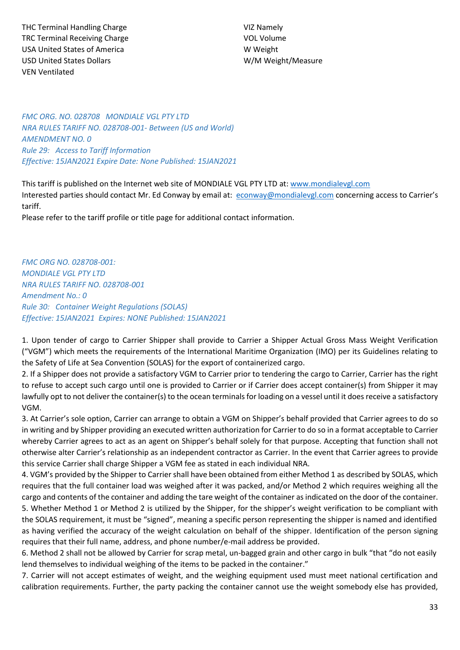THC Terminal Handling Charge TRC Terminal Receiving Charge USA United States of America USD United States Dollars VEN Ventilated

VIZ Namely VOL Volume W Weight W/M Weight/Measure

*FMC ORG. NO. 028708 MONDIALE VGL PTY LTD NRA RULES TARIFF NO. 028708-001- Between (US and World) AMENDMENT NO. 0 Rule 29: Access to Tariff Information Effective: 15JAN2021 Expire Date: None Published: 15JAN2021*

This tariff is published on the Internet web site of MONDIALE VGL PTY LTD at: [www.mondialevgl.com](http://www.mondialevgl.com/) Interested parties should contact Mr. Ed Conway by email at: [econway@mondialevgl.com](mailto:econway@mondialevgl.com) concerning access to Carrier's tariff.

Please refer to the tariff profile or title page for additional contact information.

*FMC ORG NO. 028708-001: MONDIALE VGL PTY LTD NRA RULES TARIFF NO. 028708-001 Amendment No.: 0 Rule 30: Container Weight Regulations (SOLAS) Effective: 15JAN2021 Expires: NONE Published: 15JAN2021*

1. Upon tender of cargo to Carrier Shipper shall provide to Carrier a Shipper Actual Gross Mass Weight Verification ("VGM") which meets the requirements of the International Maritime Organization (IMO) per its Guidelines relating to the Safety of Life at Sea Convention (SOLAS) for the export of containerized cargo.

2. If a Shipper does not provide a satisfactory VGM to Carrier prior to tendering the cargo to Carrier, Carrier has the right to refuse to accept such cargo until one is provided to Carrier or if Carrier does accept container(s) from Shipper it may lawfully opt to not deliver the container(s) to the ocean terminals for loading on a vessel until it does receive a satisfactory VGM.

3. At Carrier's sole option, Carrier can arrange to obtain a VGM on Shipper's behalf provided that Carrier agrees to do so in writing and by Shipper providing an executed written authorization for Carrier to do so in a format acceptable to Carrier whereby Carrier agrees to act as an agent on Shipper's behalf solely for that purpose. Accepting that function shall not otherwise alter Carrier's relationship as an independent contractor as Carrier. In the event that Carrier agrees to provide this service Carrier shall charge Shipper a VGM fee as stated in each individual NRA.

4. VGM's provided by the Shipper to Carrier shall have been obtained from either Method 1 as described by SOLAS, which requires that the full container load was weighed after it was packed, and/or Method 2 which requires weighing all the cargo and contents of the container and adding the tare weight of the container as indicated on the door of the container. 5. Whether Method 1 or Method 2 is utilized by the Shipper, for the shipper's weight verification to be compliant with the SOLAS requirement, it must be "signed", meaning a specific person representing the shipper is named and identified as having verified the accuracy of the weight calculation on behalf of the shipper. Identification of the person signing requires that their full name, address, and phone number/e-mail address be provided.

6. Method 2 shall not be allowed by Carrier for scrap metal, un-bagged grain and other cargo in bulk "that "do not easily lend themselves to individual weighing of the items to be packed in the container."

7. Carrier will not accept estimates of weight, and the weighing equipment used must meet national certification and calibration requirements. Further, the party packing the container cannot use the weight somebody else has provided,